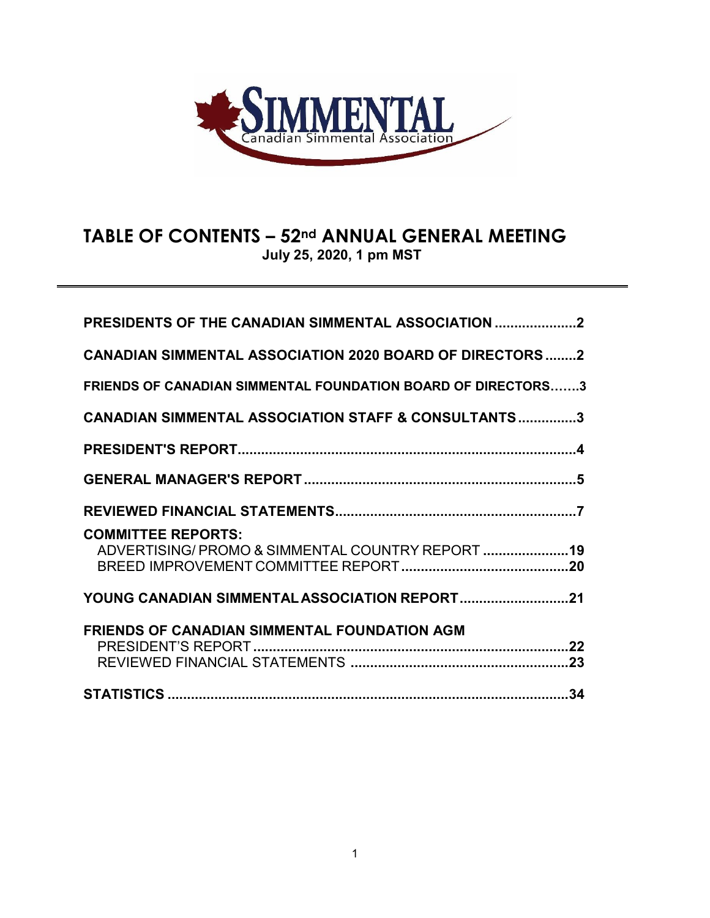

# **TABLE OF CONTENTS – 52nd ANNUAL GENERAL MEETING July 25, 2020, 1 pm MST**

| <b>PRESIDENTS OF THE CANADIAN SIMMENTAL ASSOCIATION 2</b>                      |  |
|--------------------------------------------------------------------------------|--|
| <b>CANADIAN SIMMENTAL ASSOCIATION 2020 BOARD OF DIRECTORS 2</b>                |  |
| <b>FRIENDS OF CANADIAN SIMMENTAL FOUNDATION BOARD OF DIRECTORS3</b>            |  |
| <b>CANADIAN SIMMENTAL ASSOCIATION STAFF &amp; CONSULTANTS3</b>                 |  |
|                                                                                |  |
|                                                                                |  |
|                                                                                |  |
| <b>COMMITTEE REPORTS:</b><br>ADVERTISING/ PROMO & SIMMENTAL COUNTRY REPORT  19 |  |
| YOUNG CANADIAN SIMMENTAL ASSOCIATION REPORT21                                  |  |
| <b>FRIENDS OF CANADIAN SIMMENTAL FOUNDATION AGM</b>                            |  |
|                                                                                |  |
|                                                                                |  |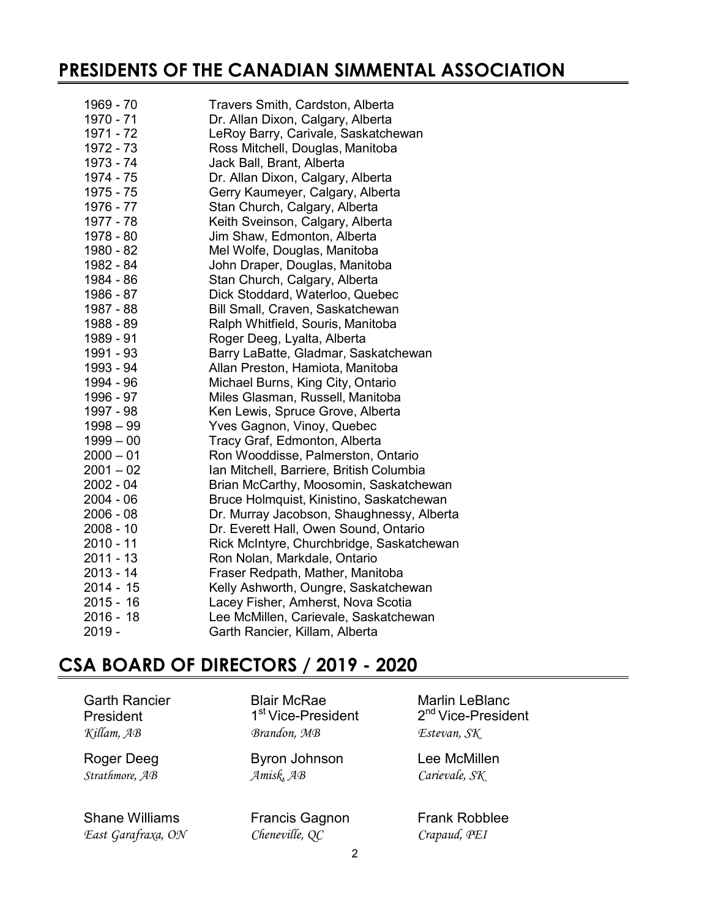# **PRESIDENTS OF THE CANADIAN SIMMENTAL ASSOCIATION**

| 1969 - 70              | Travers Smith, Cardston, Alberta          |
|------------------------|-------------------------------------------|
| 1970 - 71              | Dr. Allan Dixon, Calgary, Alberta         |
| 1971 - 72              | LeRoy Barry, Carivale, Saskatchewan       |
| 1972 - 73              | Ross Mitchell, Douglas, Manitoba          |
| 1973 - 74              | Jack Ball, Brant, Alberta                 |
| 1974 - 75              | Dr. Allan Dixon, Calgary, Alberta         |
| 1975 - 75              | Gerry Kaumeyer, Calgary, Alberta          |
| 1976 - 77              | Stan Church, Calgary, Alberta             |
| 1977 - 78<br>1978 - 80 | Keith Sveinson, Calgary, Alberta          |
|                        | Jim Shaw, Edmonton, Alberta               |
| 1980 - 82              | Mel Wolfe, Douglas, Manitoba              |
| 1982 - 84              | John Draper, Douglas, Manitoba            |
| 1984 - 86              | Stan Church, Calgary, Alberta             |
| 1986 - 87              | Dick Stoddard, Waterloo, Quebec           |
| 1987 - 88              | Bill Small, Craven, Saskatchewan          |
| 1988 - 89              | Ralph Whitfield, Souris, Manitoba         |
| 1989 - 91              | Roger Deeg, Lyalta, Alberta               |
| 1991 - 93              | Barry LaBatte, Gladmar, Saskatchewan      |
| 1993 - 94              | Allan Preston, Hamiota, Manitoba          |
| 1994 - 96              | Michael Burns, King City, Ontario         |
| 1996 - 97              | Miles Glasman, Russell, Manitoba          |
| 1997 - 98              | Ken Lewis, Spruce Grove, Alberta          |
| $1998 - 99$            | Yves Gagnon, Vinoy, Quebec                |
| $1999 - 00$            | Tracy Graf, Edmonton, Alberta             |
| $2000 - 01$            | Ron Wooddisse, Palmerston, Ontario        |
| $2001 - 02$            | Ian Mitchell, Barriere, British Columbia  |
| 2002 - 04              | Brian McCarthy, Moosomin, Saskatchewan    |
| $2004 - 06$            | Bruce Holmquist, Kinistino, Saskatchewan  |
| $2006 - 08$            | Dr. Murray Jacobson, Shaughnessy, Alberta |
| $2008 - 10$            | Dr. Everett Hall, Owen Sound, Ontario     |
| 2010 - 11              | Rick McIntyre, Churchbridge, Saskatchewan |
| $2011 - 13$            | Ron Nolan, Markdale, Ontario              |
| 2013 - 14              | Fraser Redpath, Mather, Manitoba          |
| 2014 - 15              | Kelly Ashworth, Oungre, Saskatchewan      |
| $2015 - 16$            | Lacey Fisher, Amherst, Nova Scotia        |
| $2016 - 18$            | Lee McMillen, Carievale, Saskatchewan     |
| 2019 -                 | Garth Rancier, Killam, Alberta            |

# **CSA BOARD OF DIRECTORS / 2019 - 2020**

Shane Williams Francis Gagnon Frank Robblee *East Garafraxa, ON Cheneville, QC Crapaud, PEI*

1<sup>st</sup> Vice-President *Killam, AB Brandon, MB Estevan, SK*

Roger Deeg Byron Johnson Lee McMillen *Strathmore, AB Amisk, AB Carievale, SK*

Garth Rancier Blair McRae Marlin LeBlanc<br>President 1<sup>st</sup> Vice-President 2<sup>nd</sup> Vice-President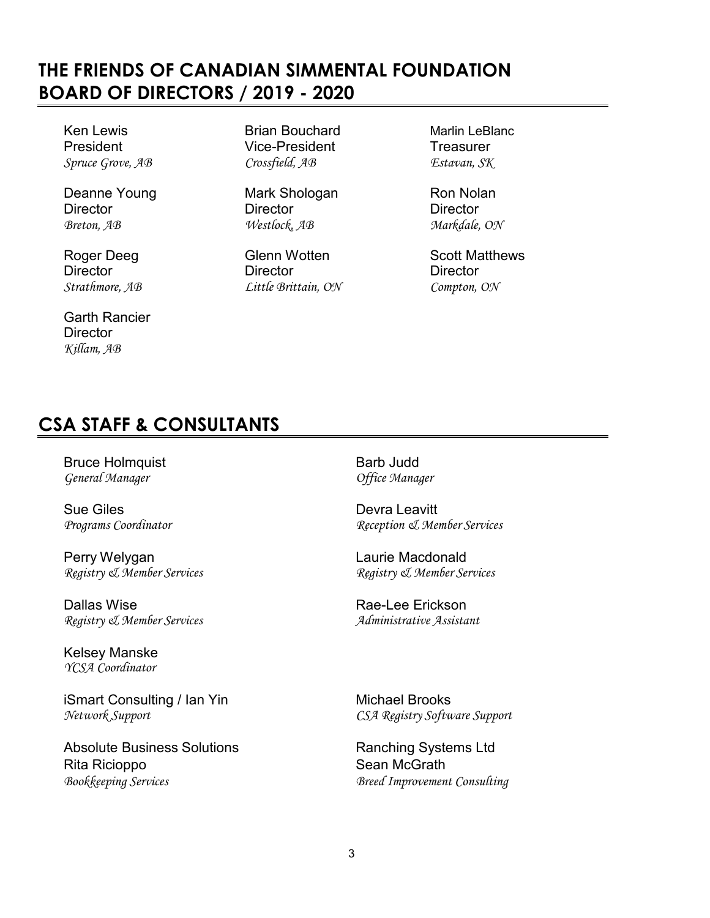# **THE FRIENDS OF CANADIAN SIMMENTAL FOUNDATION BOARD OF DIRECTORS / 2019 - 2020**

Ken Lewis **Brian Bouchard** Marlin LeBlanc

Deanne Young **Mark Shologan** Ron Nolan

Garth Rancier **Director** *Killam, AB*

President Vice-President Treasurer *Spruce Grove, AB Crossfield, AB Estavan, SK*

Director Director Director *Breton, AB Westlock, AB Markdale, ON*

Director Director Director Director Director Director Director Director Director Compton, *Strathmore, AB Little Brittain, ON Compton, ON*

Roger Deeg Glenn Wotten Scott Matthews<br>
Director Director Director Christen Christene Director

# **CSA STAFF & CONSULTANTS**

Bruce Holmquist<br>
General Manager<br>
General Manager<br>
General Manager  $G$ eneral *Manager* 

Sue Giles<br> *Programs Coordinator*<br> *Programs Coordinator*<br> *Programs Coordinator* 

Perry Welygan **Laurie Macdonald** *Registry & Member Services Registry & Member Services*

**Dallas Wise**<br>Registry & Member Services<br>Registry & Member Services<br>Administrative Assistant *Registry & Member Services Administrative Assistant*

Kelsey Manske *YCSA Coordinator*

iSmart Consulting / Ian Yin Michael Brooks *Network Support CSA Registry Software Support*

Absolute Business Solutions **Ranching Systems** Ltd Rita Ricioppo **Sean McGrath** *Bookkeeping Services Breed Improvement Consulting*

*Programs Coordinator Reception & Member Services*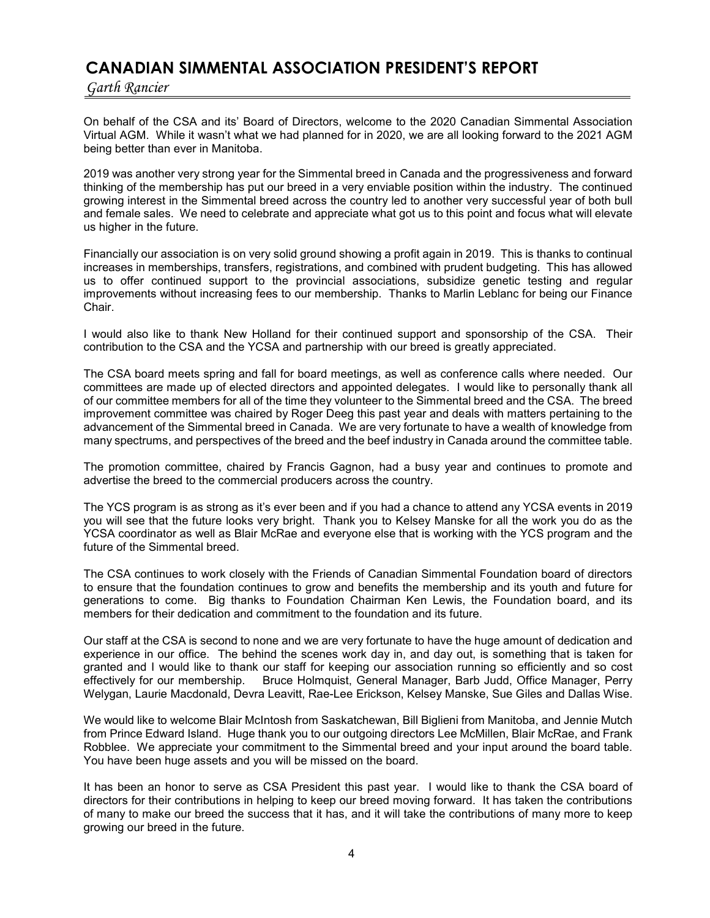## **CANADIAN SIMMENTAL ASSOCIATION PRESIDENT'S REPORT**

*Garth Rancier*

On behalf of the CSA and its' Board of Directors, welcome to the 2020 Canadian Simmental Association Virtual AGM. While it wasn't what we had planned for in 2020, we are all looking forward to the 2021 AGM being better than ever in Manitoba.

2019 was another very strong year for the Simmental breed in Canada and the progressiveness and forward thinking of the membership has put our breed in a very enviable position within the industry. The continued growing interest in the Simmental breed across the country led to another very successful year of both bull and female sales. We need to celebrate and appreciate what got us to this point and focus what will elevate us higher in the future.

Financially our association is on very solid ground showing a profit again in 2019. This is thanks to continual increases in memberships, transfers, registrations, and combined with prudent budgeting. This has allowed us to offer continued support to the provincial associations, subsidize genetic testing and regular improvements without increasing fees to our membership. Thanks to Marlin Leblanc for being our Finance Chair.

I would also like to thank New Holland for their continued support and sponsorship of the CSA. Their contribution to the CSA and the YCSA and partnership with our breed is greatly appreciated.

The CSA board meets spring and fall for board meetings, as well as conference calls where needed. Our committees are made up of elected directors and appointed delegates. I would like to personally thank all of our committee members for all of the time they volunteer to the Simmental breed and the CSA. The breed improvement committee was chaired by Roger Deeg this past year and deals with matters pertaining to the advancement of the Simmental breed in Canada. We are very fortunate to have a wealth of knowledge from many spectrums, and perspectives of the breed and the beef industry in Canada around the committee table.

The promotion committee, chaired by Francis Gagnon, had a busy year and continues to promote and advertise the breed to the commercial producers across the country.

The YCS program is as strong as it's ever been and if you had a chance to attend any YCSA events in 2019 you will see that the future looks very bright. Thank you to Kelsey Manske for all the work you do as the YCSA coordinator as well as Blair McRae and everyone else that is working with the YCS program and the future of the Simmental breed.

The CSA continues to work closely with the Friends of Canadian Simmental Foundation board of directors to ensure that the foundation continues to grow and benefits the membership and its youth and future for generations to come. Big thanks to Foundation Chairman Ken Lewis, the Foundation board, and its members for their dedication and commitment to the foundation and its future.

Our staff at the CSA is second to none and we are very fortunate to have the huge amount of dedication and experience in our office. The behind the scenes work day in, and day out, is something that is taken for granted and I would like to thank our staff for keeping our association running so efficiently and so cost effectively for our membership. Bruce Holmquist, General Manager, Barb Judd, Office Manager, Perry Welygan, Laurie Macdonald, Devra Leavitt, Rae-Lee Erickson, Kelsey Manske, Sue Giles and Dallas Wise.

We would like to welcome Blair McIntosh from Saskatchewan, Bill Biglieni from Manitoba, and Jennie Mutch from Prince Edward Island. Huge thank you to our outgoing directors Lee McMillen, Blair McRae, and Frank Robblee. We appreciate your commitment to the Simmental breed and your input around the board table. You have been huge assets and you will be missed on the board.

It has been an honor to serve as CSA President this past year. I would like to thank the CSA board of directors for their contributions in helping to keep our breed moving forward. It has taken the contributions of many to make our breed the success that it has, and it will take the contributions of many more to keep growing our breed in the future.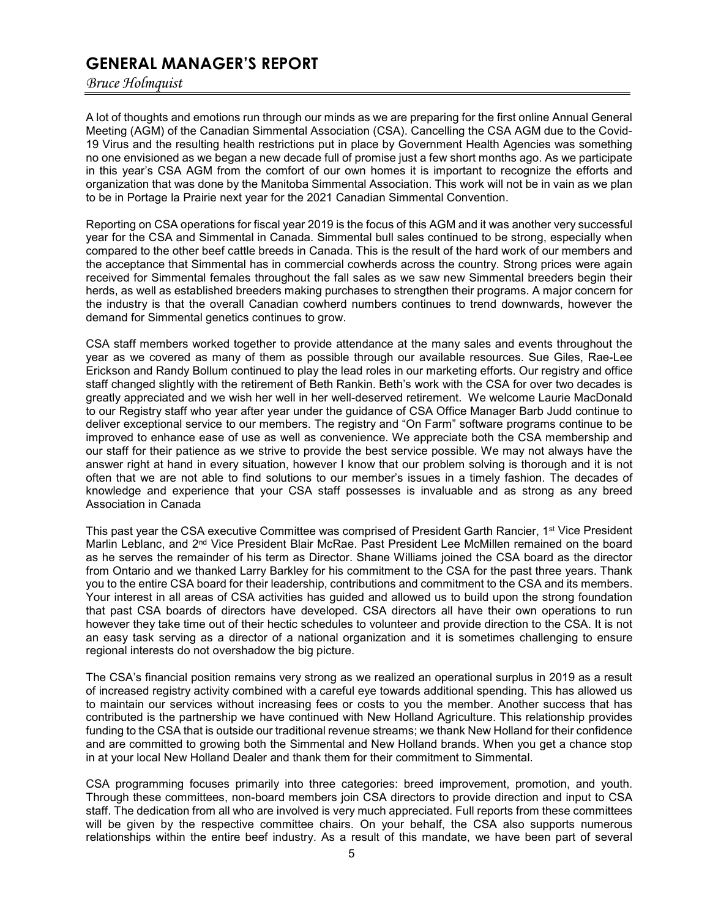## **GENERAL MANAGER'S REPORT**

*Bruce Holmquist*

A lot of thoughts and emotions run through our minds as we are preparing for the first online Annual General Meeting (AGM) of the Canadian Simmental Association (CSA). Cancelling the CSA AGM due to the Covid-19 Virus and the resulting health restrictions put in place by Government Health Agencies was something no one envisioned as we began a new decade full of promise just a few short months ago. As we participate in this year's CSA AGM from the comfort of our own homes it is important to recognize the efforts and organization that was done by the Manitoba Simmental Association. This work will not be in vain as we plan to be in Portage la Prairie next year for the 2021 Canadian Simmental Convention.

Reporting on CSA operations for fiscal year 2019 is the focus of this AGM and it was another very successful year for the CSA and Simmental in Canada. Simmental bull sales continued to be strong, especially when compared to the other beef cattle breeds in Canada. This is the result of the hard work of our members and the acceptance that Simmental has in commercial cowherds across the country. Strong prices were again received for Simmental females throughout the fall sales as we saw new Simmental breeders begin their herds, as well as established breeders making purchases to strengthen their programs. A major concern for the industry is that the overall Canadian cowherd numbers continues to trend downwards, however the demand for Simmental genetics continues to grow.

CSA staff members worked together to provide attendance at the many sales and events throughout the year as we covered as many of them as possible through our available resources. Sue Giles, Rae-Lee Erickson and Randy Bollum continued to play the lead roles in our marketing efforts. Our registry and office staff changed slightly with the retirement of Beth Rankin. Beth's work with the CSA for over two decades is greatly appreciated and we wish her well in her well-deserved retirement. We welcome Laurie MacDonald to our Registry staff who year after year under the guidance of CSA Office Manager Barb Judd continue to deliver exceptional service to our members. The registry and "On Farm" software programs continue to be improved to enhance ease of use as well as convenience. We appreciate both the CSA membership and our staff for their patience as we strive to provide the best service possible. We may not always have the answer right at hand in every situation, however I know that our problem solving is thorough and it is not often that we are not able to find solutions to our member's issues in a timely fashion. The decades of knowledge and experience that your CSA staff possesses is invaluable and as strong as any breed Association in Canada

This past year the CSA executive Committee was comprised of President Garth Rancier, 1<sup>st</sup> Vice President Marlin Leblanc, and 2<sup>nd</sup> Vice President Blair McRae. Past President Lee McMillen remained on the board as he serves the remainder of his term as Director. Shane Williams joined the CSA board as the director from Ontario and we thanked Larry Barkley for his commitment to the CSA for the past three years. Thank you to the entire CSA board for their leadership, contributions and commitment to the CSA and its members. Your interest in all areas of CSA activities has guided and allowed us to build upon the strong foundation that past CSA boards of directors have developed. CSA directors all have their own operations to run however they take time out of their hectic schedules to volunteer and provide direction to the CSA. It is not an easy task serving as a director of a national organization and it is sometimes challenging to ensure regional interests do not overshadow the big picture.

The CSA's financial position remains very strong as we realized an operational surplus in 2019 as a result of increased registry activity combined with a careful eye towards additional spending. This has allowed us to maintain our services without increasing fees or costs to you the member. Another success that has contributed is the partnership we have continued with New Holland Agriculture. This relationship provides funding to the CSA that is outside our traditional revenue streams; we thank New Holland for their confidence and are committed to growing both the Simmental and New Holland brands. When you get a chance stop in at your local New Holland Dealer and thank them for their commitment to Simmental.

CSA programming focuses primarily into three categories: breed improvement, promotion, and youth. Through these committees, non-board members join CSA directors to provide direction and input to CSA staff. The dedication from all who are involved is very much appreciated. Full reports from these committees will be given by the respective committee chairs. On your behalf, the CSA also supports numerous relationships within the entire beef industry. As a result of this mandate, we have been part of several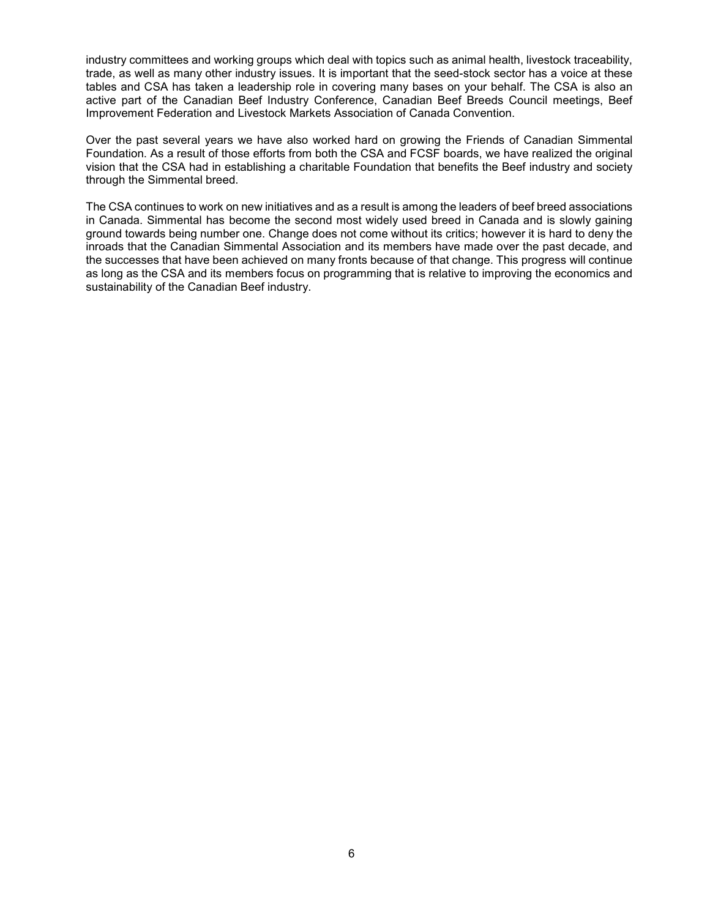industry committees and working groups which deal with topics such as animal health, livestock traceability, trade, as well as many other industry issues. It is important that the seed-stock sector has a voice at these tables and CSA has taken a leadership role in covering many bases on your behalf. The CSA is also an active part of the Canadian Beef Industry Conference, Canadian Beef Breeds Council meetings, Beef Improvement Federation and Livestock Markets Association of Canada Convention.

Over the past several years we have also worked hard on growing the Friends of Canadian Simmental Foundation. As a result of those efforts from both the CSA and FCSF boards, we have realized the original vision that the CSA had in establishing a charitable Foundation that benefits the Beef industry and society through the Simmental breed.

The CSA continues to work on new initiatives and as a result is among the leaders of beef breed associations in Canada. Simmental has become the second most widely used breed in Canada and is slowly gaining ground towards being number one. Change does not come without its critics; however it is hard to deny the inroads that the Canadian Simmental Association and its members have made over the past decade, and the successes that have been achieved on many fronts because of that change. This progress will continue as long as the CSA and its members focus on programming that is relative to improving the economics and sustainability of the Canadian Beef industry.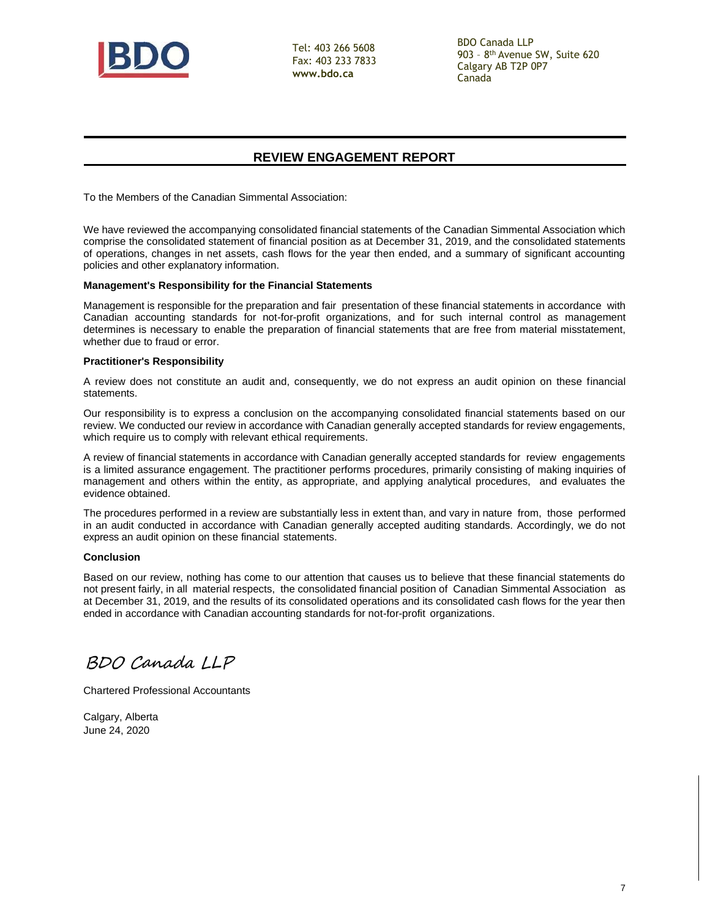

Tel: 403 266 5608 Fax: 403 233 7833 **[www.bdo.ca](http://www.bdo.ca/)**

BDO Canada LLP 903 – 8 th Avenue SW, Suite 620 Calgary AB T2P 0P7 Canada

## **REVIEW ENGAGEMENT REPORT**

To the Members of the Canadian Simmental Association:

We have reviewed the accompanying consolidated financial statements of the Canadian Simmental Association which comprise the consolidated statement of financial position as at December 31, 2019, and the consolidated statements of operations, changes in net assets, cash flows for the year then ended, and a summary of significant accounting policies and other explanatory information.

#### **Management's Responsibility for the Financial Statements**

Management is responsible for the preparation and fair presentation of these financial statements in accordance with Canadian accounting standards for not-for-profit organizations, and for such internal control as management determines is necessary to enable the preparation of financial statements that are free from material misstatement, whether due to fraud or error.

#### **Practitioner's Responsibility**

A review does not constitute an audit and, consequently, we do not express an audit opinion on these financial statements.

Our responsibility is to express a conclusion on the accompanying consolidated financial statements based on our review. We conducted our review in accordance with Canadian generally accepted standards for review engagements, which require us to comply with relevant ethical requirements.

A review of financial statements in accordance with Canadian generally accepted standards for review engagements is a limited assurance engagement. The practitioner performs procedures, primarily consisting of making inquiries of management and others within the entity, as appropriate, and applying analytical procedures, and evaluates the evidence obtained.

The procedures performed in a review are substantially less in extent than, and vary in nature from, those performed in an audit conducted in accordance with Canadian generally accepted auditing standards. Accordingly, we do not express an audit opinion on these financial statements.

#### **Conclusion**

Based on our review, nothing has come to our attention that causes us to believe that these financial statements do not present fairly, in all material respects, the consolidated financial position of Canadian Simmental Association as at December 31, 2019, and the results of its consolidated operations and its consolidated cash flows for the year then ended in accordance with Canadian accounting standards for not-for-profit organizations.

BDO Canada LLP

Chartered Professional Accountants

Calgary, Alberta June 24, 2020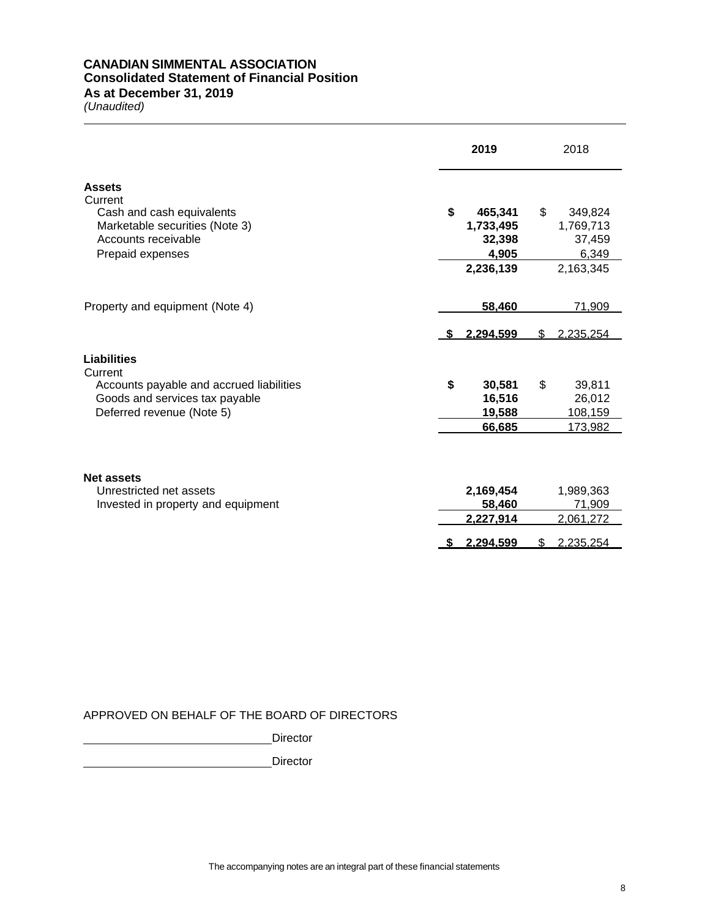### **CANADIAN SIMMENTAL ASSOCIATION Consolidated Statement of Financial Position As at December 31, 2019**

*(Unaudited)*

**2019** 2018 **Assets Current** Cash and cash equivalents **\$ 465,341** \$ 349,824 Marketable securities (Note 3) **1,733,495** 1,769,713<br>Accounts receivable **1,769,713** 1,769,713 Accounts receivable **32,398** 37,459 Prepaid expenses **4,905** 6,349 **2,236,139** 2,163,345 Property and equipment (Note 4) **58,460** 71,909  **\$ 2,294,599** \$ 2,235,254 **Liabilities Current** Accounts payable and accrued liabilities **\$ 30,581** \$ 39,811 Goods and services tax payable **16,516** 26,012 **Deferred revenue (Note 5) 19,588** 108,159 **66,685** 173,982 **Net assets** Unrestricted net assets **2,169,454** 1,989,363 Invested in property and equipment **58,460** 71,909 **2,227,914** 2,061,272  **\$ 2,294,599** \$ 2,235,254

## APPROVED ON BEHALF OF THE BOARD OF DIRECTORS

**Director** 

**Director**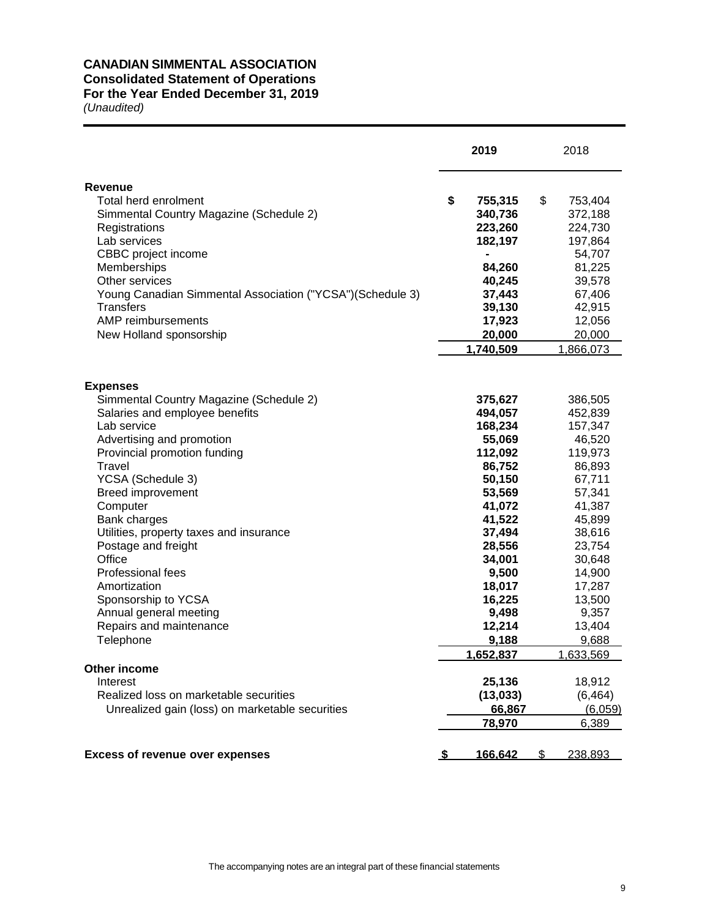## **CANADIAN SIMMENTAL ASSOCIATION**

## **Consolidated Statement of Operations**

# **For the Year Ended December 31, 2019**

|                                                                                                 | 2019                                |    | 2018                          |
|-------------------------------------------------------------------------------------------------|-------------------------------------|----|-------------------------------|
| <b>Revenue</b>                                                                                  |                                     |    |                               |
| Total herd enrolment<br>Simmental Country Magazine (Schedule 2)<br>Registrations                | \$<br>755,315<br>340,736<br>223,260 | \$ | 753,404<br>372,188<br>224,730 |
| Lab services<br>CBBC project income<br>Memberships                                              | 182,197<br>84,260                   |    | 197,864<br>54,707<br>81,225   |
| Other services<br>Young Canadian Simmental Association ("YCSA")(Schedule 3)<br><b>Transfers</b> | 40,245<br>37,443<br>39,130          |    | 39,578<br>67,406<br>42,915    |
| AMP reimbursements<br>New Holland sponsorship                                                   | 17,923<br>20,000<br>1,740,509       |    | 12,056<br>20,000<br>1,866,073 |
|                                                                                                 |                                     |    |                               |
| <b>Expenses</b><br>Simmental Country Magazine (Schedule 2)<br>Salaries and employee benefits    | 375,627<br>494,057                  |    | 386,505<br>452,839            |
| Lab service<br>Advertising and promotion                                                        | 168,234<br>55,069                   |    | 157,347<br>46,520             |
| Provincial promotion funding<br>Travel                                                          | 112,092<br>86,752                   |    | 119,973<br>86,893             |
| YCSA (Schedule 3)<br><b>Breed improvement</b><br>Computer                                       | 50,150<br>53,569<br>41,072          |    | 67,711<br>57,341<br>41,387    |
| Bank charges<br>Utilities, property taxes and insurance                                         | 41,522<br>37,494                    |    | 45,899<br>38,616              |
| Postage and freight<br>Office                                                                   | 28,556<br>34,001                    |    | 23,754<br>30,648              |
| Professional fees<br>Amortization                                                               | 9,500<br>18,017                     |    | 14,900<br>17,287              |
| Sponsorship to YCSA<br>Annual general meeting<br>Repairs and maintenance                        | 16,225<br>9,498<br>12,214           |    | 13,500<br>9,357<br>13,404     |
| Telephone                                                                                       | 9,188<br>1,652,837                  |    | 9,688<br>1,633,569            |
| Other income<br>Interest                                                                        | 25,136                              |    | 18,912                        |
| Realized loss on marketable securities<br>Unrealized gain (loss) on marketable securities       | (13, 033)<br>66,867                 |    | (6, 464)<br>(6,059)           |
|                                                                                                 | 78,970                              |    | 6,389                         |
| <b>Excess of revenue over expenses</b>                                                          | 166.642                             | æ. | 238.893                       |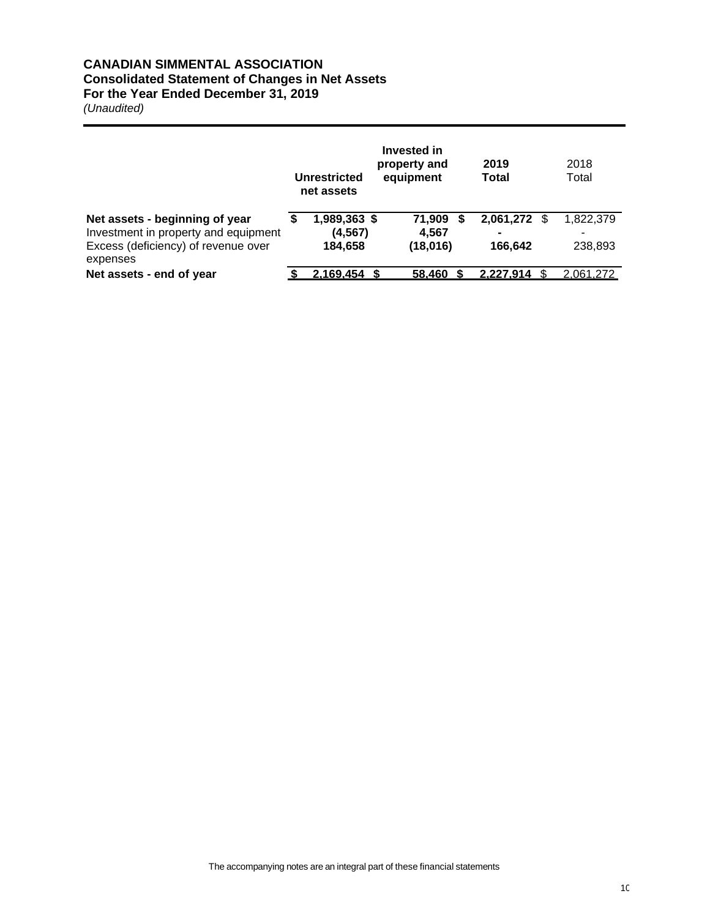## **CANADIAN SIMMENTAL ASSOCIATION Consolidated Statement of Changes in Net Assets For the Year Ended December 31, 2019**

|                                                                                                                           | Unrestricted<br>net assets          | Invested in<br>property and<br>equipment | 2019<br>Total        |   | 2018<br>Total             |
|---------------------------------------------------------------------------------------------------------------------------|-------------------------------------|------------------------------------------|----------------------|---|---------------------------|
| Net assets - beginning of year<br>Investment in property and equipment<br>Excess (deficiency) of revenue over<br>expenses | 1,989,363 \$<br>(4, 567)<br>184,658 | 71,909<br>4,567<br>(18,016)              | 2,061,272<br>166.642 | S | 1,822,379<br>-<br>238,893 |
| Net assets - end of year                                                                                                  | 2.169.454                           | 58.460                                   | 2.227.914            |   | 2.061.272                 |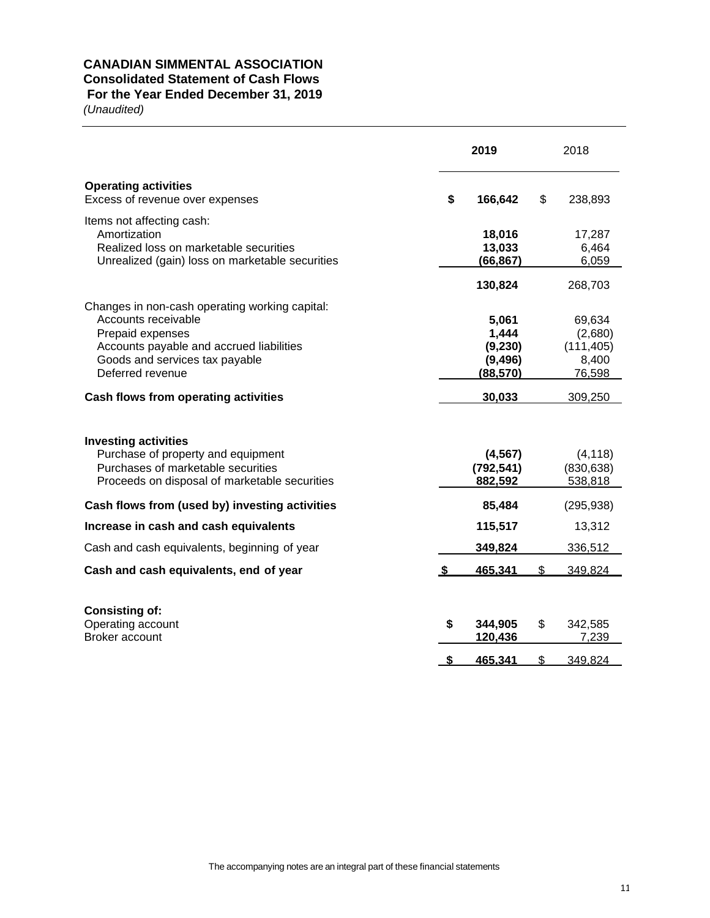## **CANADIAN SIMMENTAL ASSOCIATION Consolidated Statement of Cash Flows**

## **For the Year Ended December 31, 2019**

|                                                                                                                                                          |    | 2019                                      |     | 2018                                     |
|----------------------------------------------------------------------------------------------------------------------------------------------------------|----|-------------------------------------------|-----|------------------------------------------|
| <b>Operating activities</b><br>Excess of revenue over expenses                                                                                           | \$ | 166,642                                   | \$  | 238,893                                  |
| Items not affecting cash:<br>Amortization<br>Realized loss on marketable securities<br>Unrealized (gain) loss on marketable securities                   |    | 18,016<br>13,033<br>(66, 867)             |     | 17,287<br>6,464<br>6,059                 |
| Changes in non-cash operating working capital:<br>Accounts receivable                                                                                    |    | 130,824<br>5,061                          |     | 268,703<br>69,634                        |
| Prepaid expenses<br>Accounts payable and accrued liabilities<br>Goods and services tax payable<br>Deferred revenue                                       |    | 1,444<br>(9,230)<br>(9, 496)<br>(88, 570) |     | (2,680)<br>(111, 405)<br>8,400<br>76,598 |
| Cash flows from operating activities                                                                                                                     |    | 30,033                                    |     | 309,250                                  |
| <b>Investing activities</b><br>Purchase of property and equipment<br>Purchases of marketable securities<br>Proceeds on disposal of marketable securities |    | (4, 567)<br>(792, 541)<br>882,592         |     | (4, 118)<br>(830, 638)<br>538,818        |
| Cash flows from (used by) investing activities                                                                                                           |    | 85,484                                    |     | (295, 938)                               |
| Increase in cash and cash equivalents                                                                                                                    |    | 115,517                                   |     | 13,312                                   |
| Cash and cash equivalents, beginning of year                                                                                                             |    | 349,824                                   |     | 336,512                                  |
| Cash and cash equivalents, end of year                                                                                                                   | S  | 465.341                                   | \$. | 349.824                                  |
| <b>Consisting of:</b><br>Operating account<br><b>Broker account</b>                                                                                      | \$ | 344,905<br>120,436                        | \$  | 342,585<br>7,239                         |
|                                                                                                                                                          | S  | 465.341                                   | \$  | 349.824                                  |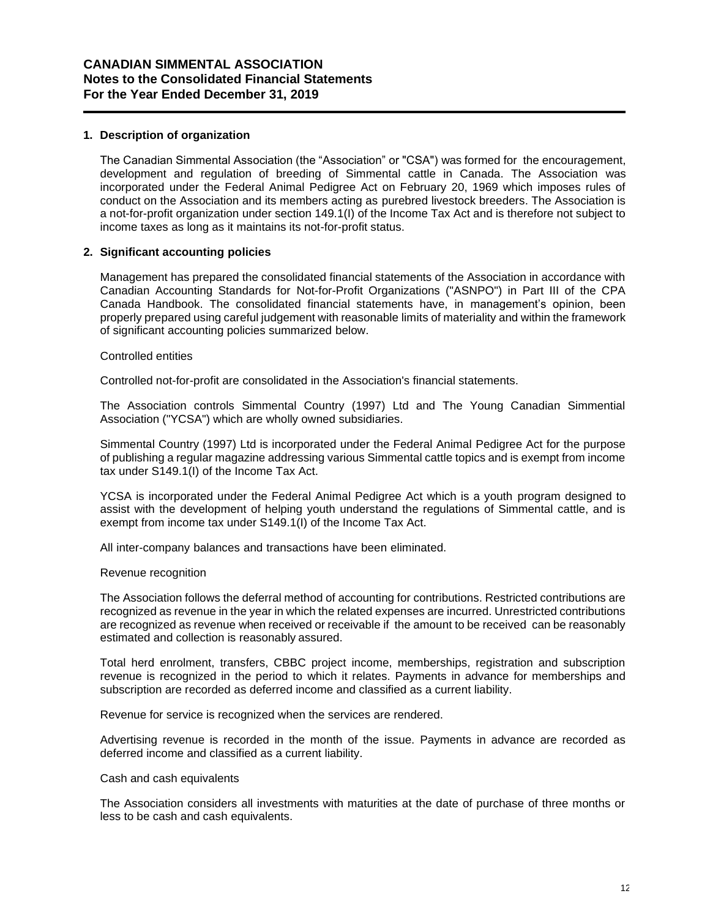### **1. Description of organization**

The Canadian Simmental Association (the "Association" or "CSA") was formed for the encouragement, development and regulation of breeding of Simmental cattle in Canada. The Association was incorporated under the Federal Animal Pedigree Act on February 20, 1969 which imposes rules of conduct on the Association and its members acting as purebred livestock breeders. The Association is a not-for-profit organization under section 149.1(I) of the Income Tax Act and is therefore not subject to income taxes as long as it maintains its not-for-profit status.

### **2. Significant accounting policies**

Management has prepared the consolidated financial statements of the Association in accordance with Canadian Accounting Standards for Not-for-Profit Organizations ("ASNPO") in Part III of the CPA Canada Handbook. The consolidated financial statements have, in management's opinion, been properly prepared using careful judgement with reasonable limits of materiality and within the framework of significant accounting policies summarized below.

#### Controlled entities

Controlled not-for-profit are consolidated in the Association's financial statements.

The Association controls Simmental Country (1997) Ltd and The Young Canadian Simmential Association ("YCSA") which are wholly owned subsidiaries.

Simmental Country (1997) Ltd is incorporated under the Federal Animal Pedigree Act for the purpose of publishing a regular magazine addressing various Simmental cattle topics and is exempt from income tax under S149.1(I) of the Income Tax Act.

YCSA is incorporated under the Federal Animal Pedigree Act which is a youth program designed to assist with the development of helping youth understand the regulations of Simmental cattle, and is exempt from income tax under S149.1(I) of the Income Tax Act.

All inter-company balances and transactions have been eliminated.

#### Revenue recognition

The Association follows the deferral method of accounting for contributions. Restricted contributions are recognized as revenue in the year in which the related expenses are incurred. Unrestricted contributions are recognized as revenue when received or receivable if the amount to be received can be reasonably estimated and collection is reasonably assured.

Total herd enrolment, transfers, CBBC project income, memberships, registration and subscription revenue is recognized in the period to which it relates. Payments in advance for memberships and subscription are recorded as deferred income and classified as a current liability.

Revenue for service is recognized when the services are rendered.

Advertising revenue is recorded in the month of the issue. Payments in advance are recorded as deferred income and classified as a current liability.

#### Cash and cash equivalents

The Association considers all investments with maturities at the date of purchase of three months or less to be cash and cash equivalents.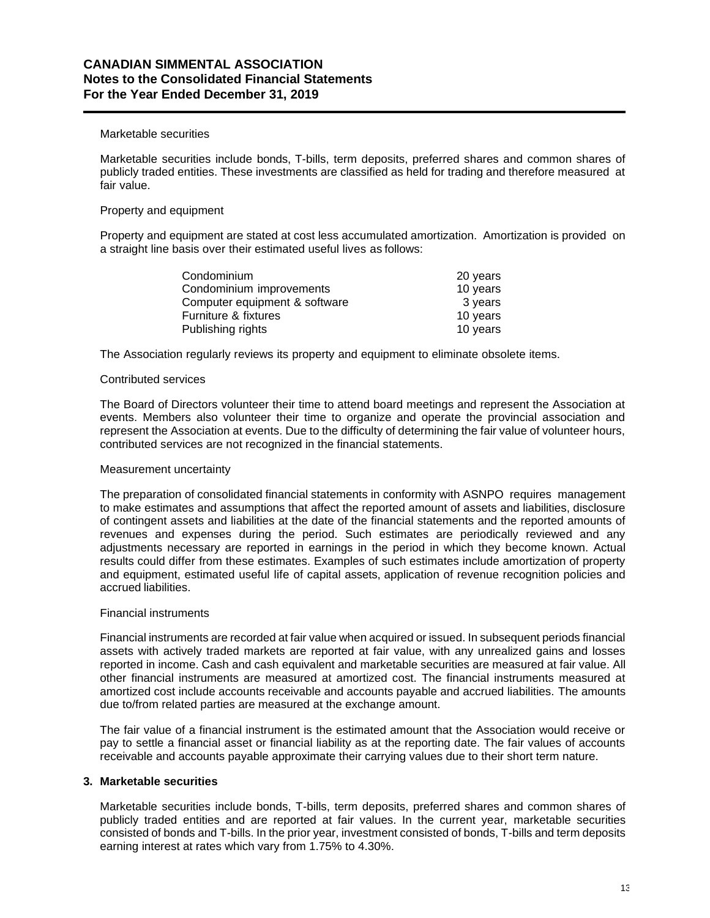## **CANADIAN SIMMENTAL ASSOCIATION Notes to the Consolidated Financial Statements For the Year Ended December 31, 2019**

#### Marketable securities

Marketable securities include bonds, T-bills, term deposits, preferred shares and common shares of publicly traded entities. These investments are classified as held for trading and therefore measured at fair value.

### Property and equipment

Property and equipment are stated at cost less accumulated amortization. Amortization is provided on a straight line basis over their estimated useful lives as follows:

| 20 years |
|----------|
| 10 years |
| 3 years  |
| 10 years |
| 10 years |
|          |

The Association regularly reviews its property and equipment to eliminate obsolete items.

#### Contributed services

The Board of Directors volunteer their time to attend board meetings and represent the Association at events. Members also volunteer their time to organize and operate the provincial association and represent the Association at events. Due to the difficulty of determining the fair value of volunteer hours, contributed services are not recognized in the financial statements.

#### Measurement uncertainty

The preparation of consolidated financial statements in conformity with ASNPO requires management to make estimates and assumptions that affect the reported amount of assets and liabilities, disclosure of contingent assets and liabilities at the date of the financial statements and the reported amounts of revenues and expenses during the period. Such estimates are periodically reviewed and any adjustments necessary are reported in earnings in the period in which they become known. Actual results could differ from these estimates. Examples of such estimates include amortization of property and equipment, estimated useful life of capital assets, application of revenue recognition policies and accrued liabilities.

### Financial instruments

Financial instruments are recorded at fair value when acquired or issued. In subsequent periods financial assets with actively traded markets are reported at fair value, with any unrealized gains and losses reported in income. Cash and cash equivalent and marketable securities are measured at fair value. All other financial instruments are measured at amortized cost. The financial instruments measured at amortized cost include accounts receivable and accounts payable and accrued liabilities. The amounts due to/from related parties are measured at the exchange amount.

The fair value of a financial instrument is the estimated amount that the Association would receive or pay to settle a financial asset or financial liability as at the reporting date. The fair values of accounts receivable and accounts payable approximate their carrying values due to their short term nature.

### **3. Marketable securities**

Marketable securities include bonds, T-bills, term deposits, preferred shares and common shares of publicly traded entities and are reported at fair values. In the current year, marketable securities consisted of bonds and T-bills. In the prior year, investment consisted of bonds, T-bills and term deposits earning interest at rates which vary from 1.75% to 4.30%.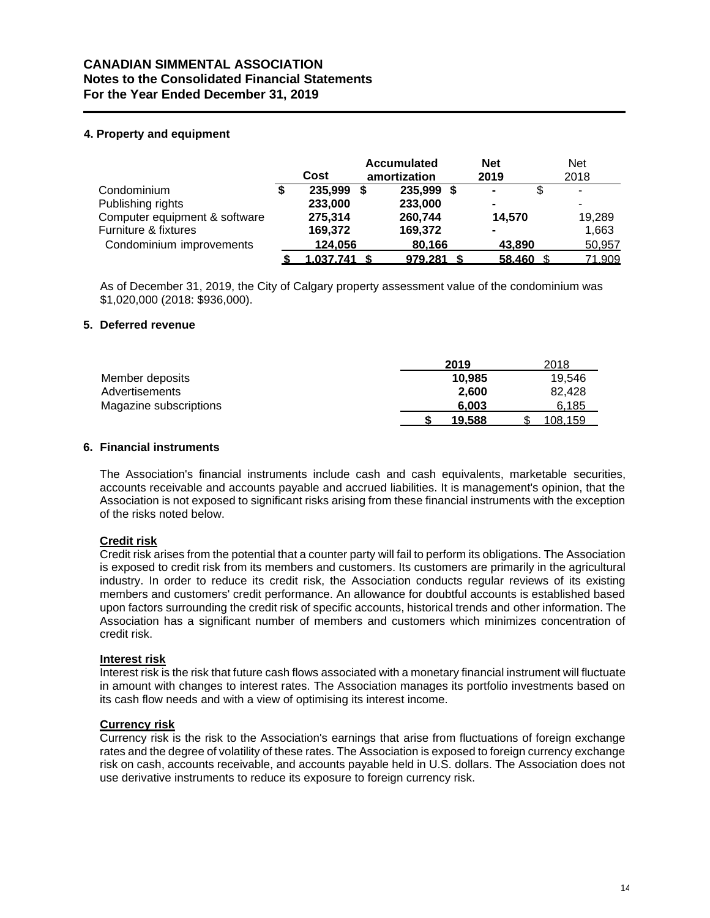## **CANADIAN SIMMENTAL ASSOCIATION Notes to the Consolidated Financial Statements For the Year Ended December 31, 2019**

## **4. Property and equipment**

|                               | Cost      | <b>Accumulated</b><br>amortization | <b>Net</b><br>2019 | <b>Net</b><br>2018 |
|-------------------------------|-----------|------------------------------------|--------------------|--------------------|
| Condominium                   | 235,999   | \$<br>235,999                      | $\blacksquare$     | ۰                  |
| Publishing rights             | 233,000   | 233,000                            | $\blacksquare$     |                    |
| Computer equipment & software | 275,314   | 260,744                            | 14.570             | 19,289             |
| Furniture & fixtures          | 169,372   | 169,372                            | $\blacksquare$     | 1,663              |
| Condominium improvements      | 124,056   | 80,166                             | 43,890             | 50,957             |
|                               | 1,037,741 | 979,281                            | 58,460             | 71,909             |

As of December 31, 2019, the City of Calgary property assessment value of the condominium was \$1,020,000 (2018: \$936,000).

### **5. Deferred revenue**

|                        | 2019   | 2018    |
|------------------------|--------|---------|
| Member deposits        | 10.985 | 19.546  |
| Advertisements         | 2.600  | 82.428  |
| Magazine subscriptions | 6.003  | 6,185   |
|                        | 19.588 | 108.159 |

### **6. Financial instruments**

The Association's financial instruments include cash and cash equivalents, marketable securities, accounts receivable and accounts payable and accrued liabilities. It is management's opinion, that the Association is not exposed to significant risks arising from these financial instruments with the exception of the risks noted below.

### **Credit risk**

Credit risk arises from the potential that a counter party will fail to perform its obligations. The Association is exposed to credit risk from its members and customers. Its customers are primarily in the agricultural industry. In order to reduce its credit risk, the Association conducts regular reviews of its existing members and customers' credit performance. An allowance for doubtful accounts is established based upon factors surrounding the credit risk of specific accounts, historical trends and other information. The Association has a significant number of members and customers which minimizes concentration of credit risk.

### **Interest risk**

Interest risk is the risk that future cash flows associated with a monetary financial instrument will fluctuate in amount with changes to interest rates. The Association manages its portfolio investments based on its cash flow needs and with a view of optimising its interest income.

### **Currency risk**

Currency risk is the risk to the Association's earnings that arise from fluctuations of foreign exchange rates and the degree of volatility of these rates. The Association is exposed to foreign currency exchange risk on cash, accounts receivable, and accounts payable held in U.S. dollars. The Association does not use derivative instruments to reduce its exposure to foreign currency risk.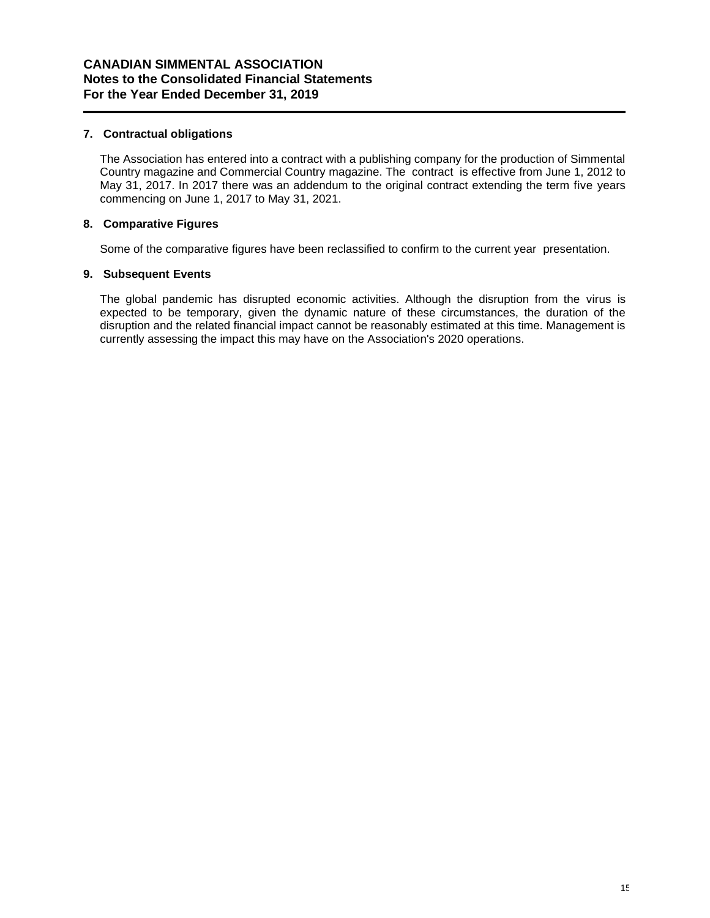## **7. Contractual obligations**

The Association has entered into a contract with a publishing company for the production of Simmental Country magazine and Commercial Country magazine. The contract is effective from June 1, 2012 to May 31, 2017. In 2017 there was an addendum to the original contract extending the term five years commencing on June 1, 2017 to May 31, 2021.

## **8. Comparative Figures**

Some of the comparative figures have been reclassified to confirm to the current year presentation.

## **9. Subsequent Events**

The global pandemic has disrupted economic activities. Although the disruption from the virus is expected to be temporary, given the dynamic nature of these circumstances, the duration of the disruption and the related financial impact cannot be reasonably estimated at this time. Management is currently assessing the impact this may have on the Association's 2020 operations.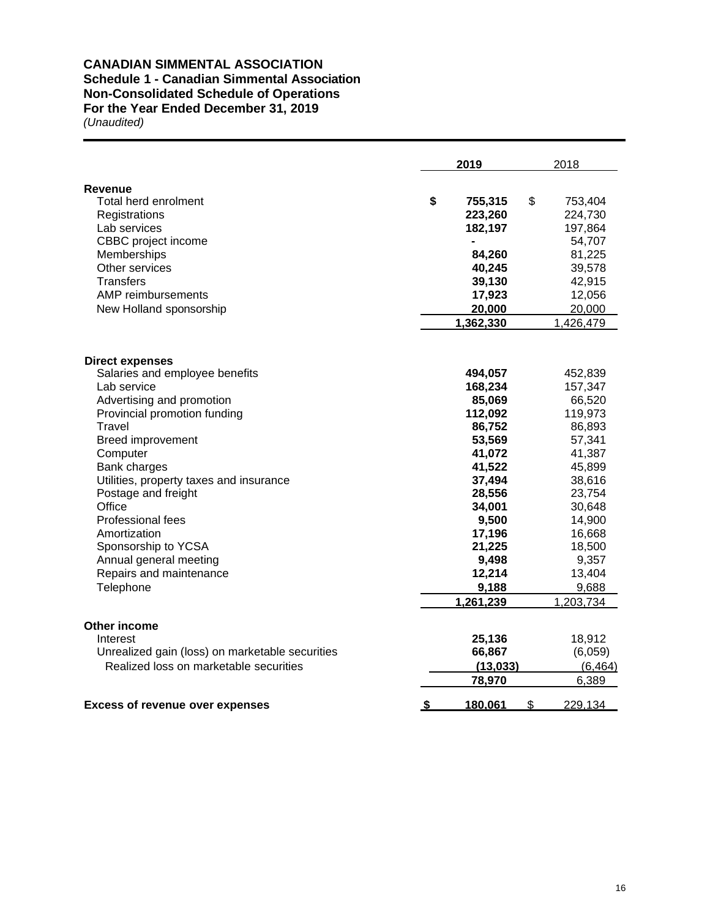## **CANADIAN SIMMENTAL ASSOCIATION Schedule 1 - Canadian Simmental Association Non-Consolidated Schedule of Operations**

**For the Year Ended December 31, 2019** 

|                                                 | 2019         |               | 2018      |
|-------------------------------------------------|--------------|---------------|-----------|
| Revenue                                         |              |               |           |
| Total herd enrolment                            | \$           | \$<br>755,315 | 753,404   |
| Registrations                                   | 223,260      |               | 224,730   |
| Lab services                                    | 182,197      |               | 197,864   |
| CBBC project income                             |              |               | 54,707    |
| Memberships                                     |              | 84,260        | 81,225    |
| Other services                                  |              | 40,245        | 39,578    |
| Transfers                                       |              | 39,130        | 42,915    |
| AMP reimbursements                              |              | 17,923        | 12,056    |
| New Holland sponsorship                         |              | 20,000        | 20,000    |
|                                                 | 1,362,330    |               | 1,426,479 |
| <b>Direct expenses</b>                          |              |               |           |
| Salaries and employee benefits                  | 494,057      |               | 452,839   |
| Lab service                                     | 168,234      |               | 157,347   |
| Advertising and promotion                       |              | 85,069        | 66,520    |
| Provincial promotion funding                    | 112,092      |               | 119,973   |
| <b>Travel</b>                                   |              | 86,752        | 86,893    |
| <b>Breed improvement</b>                        |              | 53,569        | 57,341    |
| Computer                                        |              | 41,072        | 41,387    |
| Bank charges                                    |              | 41,522        | 45,899    |
| Utilities, property taxes and insurance         |              | 37,494        | 38,616    |
| Postage and freight                             |              | 28,556        | 23,754    |
| Office                                          |              | 34,001        | 30,648    |
| Professional fees                               |              | 9,500         | 14,900    |
| Amortization                                    |              | 17,196        | 16,668    |
| Sponsorship to YCSA                             |              | 21,225        | 18,500    |
| Annual general meeting                          |              | 9,498         | 9,357     |
| Repairs and maintenance                         |              | 12,214        | 13,404    |
| Telephone                                       |              | 9,188         | 9,688     |
|                                                 | 1,261,239    |               | 1,203,734 |
| Other income                                    |              |               |           |
| Interest                                        |              | 25,136        | 18,912    |
| Unrealized gain (loss) on marketable securities |              | 66,867        | (6,059)   |
| Realized loss on marketable securities          |              | (13,033)      | (6, 464)  |
|                                                 |              | 78,970        | 6,389     |
| <b>Excess of revenue over expenses</b>          | S<br>180,061 | $\mathbf{\$}$ | 229,134   |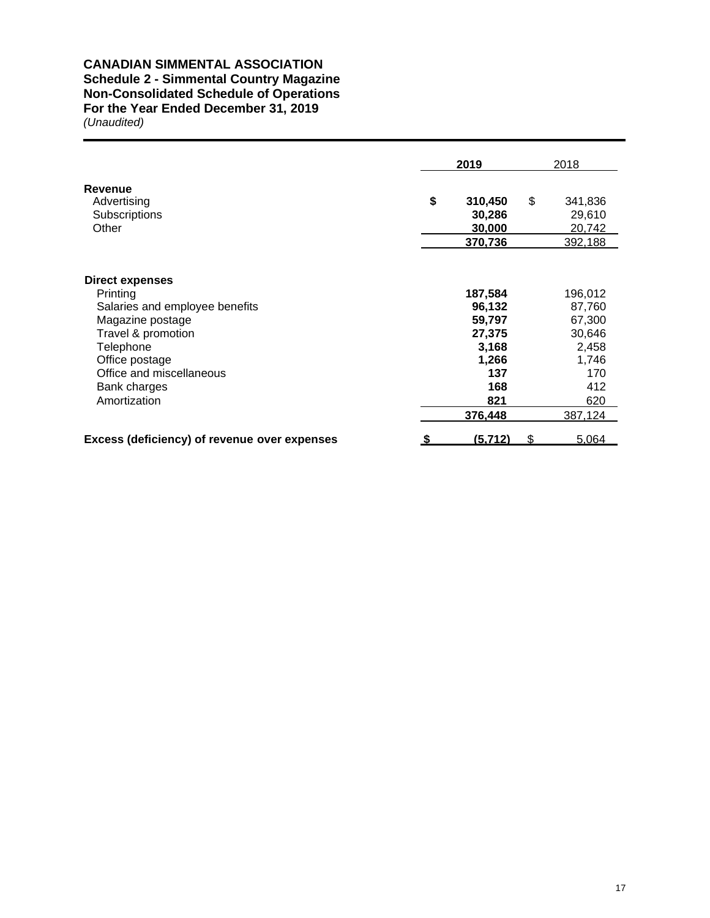## **CANADIAN SIMMENTAL ASSOCIATION Schedule 2 - Simmental Country Magazine Non-Consolidated Schedule of Operations**

## **For the Year Ended December 31, 2019**

|                                                                                                                                                                                                    |  | 2019                                                                         | 2018 |                                                                              |  |
|----------------------------------------------------------------------------------------------------------------------------------------------------------------------------------------------------|--|------------------------------------------------------------------------------|------|------------------------------------------------------------------------------|--|
| <b>Revenue</b><br>Advertising<br>Subscriptions<br>Other                                                                                                                                            |  | 310,450<br>30,286<br>30,000<br>370,736                                       | \$   | 341,836<br>29,610<br>20,742<br>392,188                                       |  |
| Direct expenses<br>Printing<br>Salaries and employee benefits<br>Magazine postage<br>Travel & promotion<br>Telephone<br>Office postage<br>Office and miscellaneous<br>Bank charges<br>Amortization |  | 187,584<br>96,132<br>59,797<br>27,375<br>3,168<br>1,266<br>137<br>168<br>821 |      | 196,012<br>87,760<br>67,300<br>30,646<br>2,458<br>1,746<br>170<br>412<br>620 |  |
| Excess (deficiency) of revenue over expenses                                                                                                                                                       |  | 376,448<br>(5, 712)                                                          | S.   | 387,124<br>5,064                                                             |  |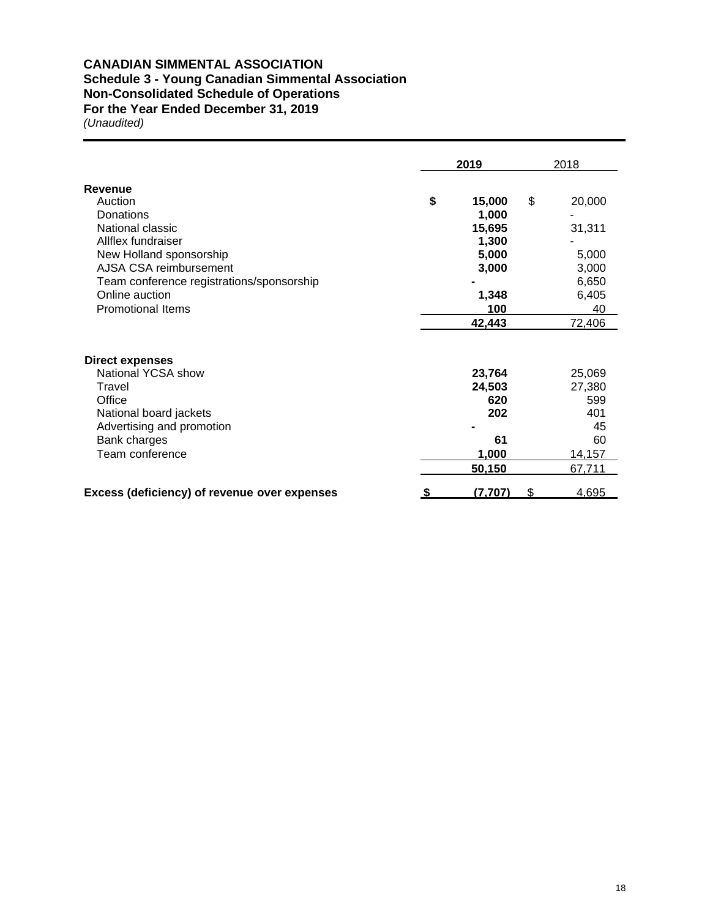# **CANADIAN SIMMENTAL ASSOCIATION**

## **Schedule 3 - Young Canadian Simmental Association**

**Non-Consolidated Schedule of Operations**

**For the Year Ended December 31, 2019**

|                                              | 2019               | 2018   |
|----------------------------------------------|--------------------|--------|
| Revenue                                      |                    |        |
| Auction                                      | \$<br>\$<br>15,000 | 20,000 |
| Donations                                    | 1,000              |        |
| National classic                             | 15,695             | 31,311 |
| Allflex fundraiser                           | 1,300              |        |
| New Holland sponsorship                      | 5,000              | 5,000  |
| AJSA CSA reimbursement                       | 3,000              | 3,000  |
| Team conference registrations/sponsorship    |                    | 6,650  |
| Online auction                               | 1,348              | 6,405  |
| <b>Promotional Items</b>                     | 100                | 40     |
|                                              | 42,443             | 72,406 |
| <b>Direct expenses</b>                       |                    |        |
| National YCSA show                           | 23,764             | 25,069 |
| Travel                                       | 24,503             | 27,380 |
| Office                                       | 620                | 599    |
| National board jackets                       | 202                | 401    |
| Advertising and promotion                    |                    | 45     |
| Bank charges                                 | 61                 | 60     |
| Team conference                              | 1,000              | 14,157 |
|                                              | 50,150             | 67,711 |
| Excess (deficiency) of revenue over expenses | (7,707)<br>\$      | 4,695  |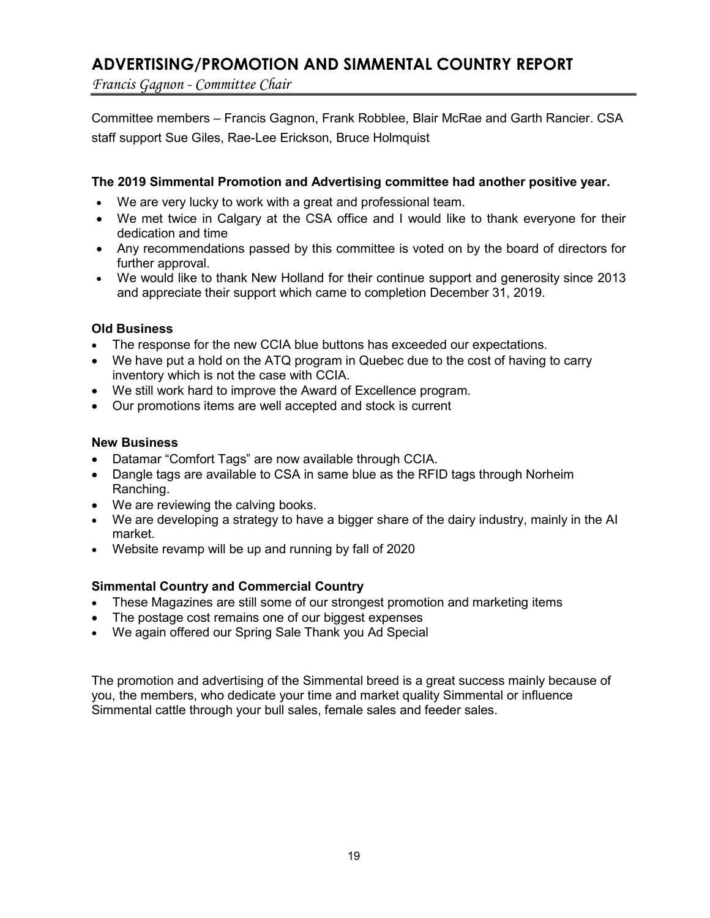## **ADVERTISING/PROMOTION AND SIMMENTAL COUNTRY REPORT**

*Francis Gagnon - Committee Chair* 

Committee members – Francis Gagnon, Frank Robblee, Blair McRae and Garth Rancier. CSA staff support Sue Giles, Rae-Lee Erickson, Bruce Holmquist

## **The 2019 Simmental Promotion and Advertising committee had another positive year.**

- We are very lucky to work with a great and professional team.
- We met twice in Calgary at the CSA office and I would like to thank everyone for their dedication and time
- Any recommendations passed by this committee is voted on by the board of directors for further approval.
- We would like to thank New Holland for their continue support and generosity since 2013 and appreciate their support which came to completion December 31, 2019.

## **Old Business**

- The response for the new CCIA blue buttons has exceeded our expectations.
- We have put a hold on the ATQ program in Quebec due to the cost of having to carry inventory which is not the case with CCIA.
- We still work hard to improve the Award of Excellence program.
- Our promotions items are well accepted and stock is current

## **New Business**

- Datamar "Comfort Tags" are now available through CCIA.
- Dangle tags are available to CSA in same blue as the RFID tags through Norheim Ranching.
- We are reviewing the calving books.
- We are developing a strategy to have a bigger share of the dairy industry, mainly in the AI market.
- Website revamp will be up and running by fall of 2020

## **Simmental Country and Commercial Country**

- These Magazines are still some of our strongest promotion and marketing items
- The postage cost remains one of our biggest expenses
- We again offered our Spring Sale Thank you Ad Special

The promotion and advertising of the Simmental breed is a great success mainly because of you, the members, who dedicate your time and market quality Simmental or influence Simmental cattle through your bull sales, female sales and feeder sales.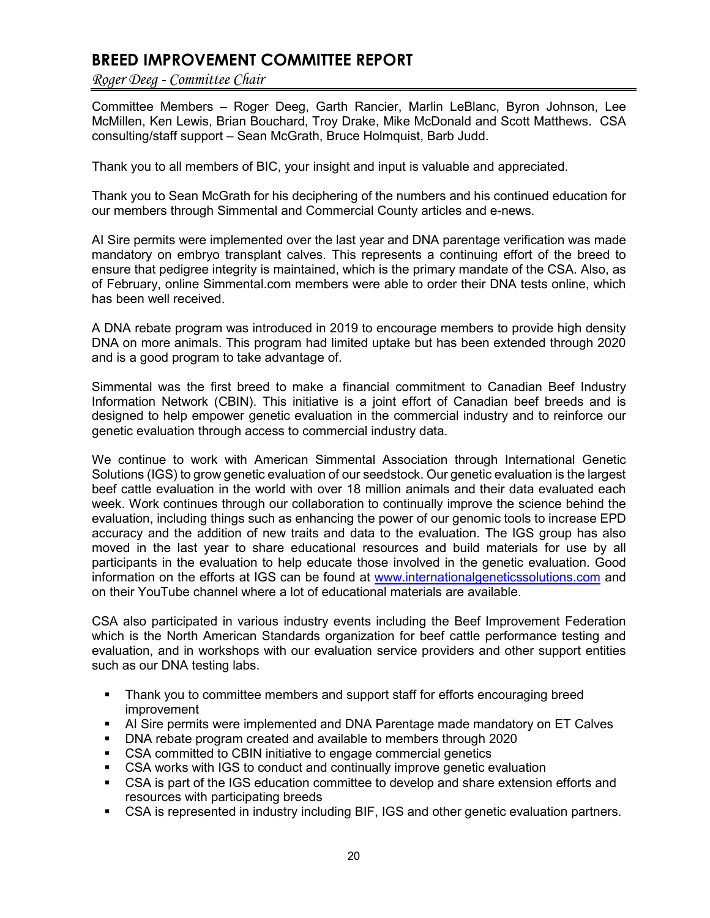## **BREED IMPROVEMENT COMMITTEE REPORT**

*Roger Deeg - Committee Chair*

Committee Members – Roger Deeg, Garth Rancier, Marlin LeBlanc, Byron Johnson, Lee McMillen, Ken Lewis, Brian Bouchard, Troy Drake, Mike McDonald and Scott Matthews. CSA consulting/staff support – Sean McGrath, Bruce Holmquist, Barb Judd.

Thank you to all members of BIC, your insight and input is valuable and appreciated.

Thank you to Sean McGrath for his deciphering of the numbers and his continued education for our members through Simmental and Commercial County articles and e-news.

AI Sire permits were implemented over the last year and DNA parentage verification was made mandatory on embryo transplant calves. This represents a continuing effort of the breed to ensure that pedigree integrity is maintained, which is the primary mandate of the CSA. Also, as of February, online Simmental.com members were able to order their DNA tests online, which has been well received.

A DNA rebate program was introduced in 2019 to encourage members to provide high density DNA on more animals. This program had limited uptake but has been extended through 2020 and is a good program to take advantage of.

Simmental was the first breed to make a financial commitment to Canadian Beef Industry Information Network (CBIN). This initiative is a joint effort of Canadian beef breeds and is designed to help empower genetic evaluation in the commercial industry and to reinforce our genetic evaluation through access to commercial industry data.

We continue to work with American Simmental Association through International Genetic Solutions (IGS) to grow genetic evaluation of our seedstock. Our genetic evaluation is the largest beef cattle evaluation in the world with over 18 million animals and their data evaluated each week. Work continues through our collaboration to continually improve the science behind the evaluation, including things such as enhancing the power of our genomic tools to increase EPD accuracy and the addition of new traits and data to the evaluation. The IGS group has also moved in the last year to share educational resources and build materials for use by all participants in the evaluation to help educate those involved in the genetic evaluation. Good information on the efforts at IGS can be found at [www.internationalgeneticssolutions.com](http://www.internationalgeneticssolutions.com/) and on their YouTube channel where a lot of educational materials are available.

CSA also participated in various industry events including the Beef Improvement Federation which is the North American Standards organization for beef cattle performance testing and evaluation, and in workshops with our evaluation service providers and other support entities such as our DNA testing labs.

- Thank you to committee members and support staff for efforts encouraging breed improvement
- AI Sire permits were implemented and DNA Parentage made mandatory on ET Calves
- DNA rebate program created and available to members through 2020
- CSA committed to CBIN initiative to engage commercial genetics
- CSA works with IGS to conduct and continually improve genetic evaluation
- CSA is part of the IGS education committee to develop and share extension efforts and resources with participating breeds
- CSA is represented in industry including BIF, IGS and other genetic evaluation partners.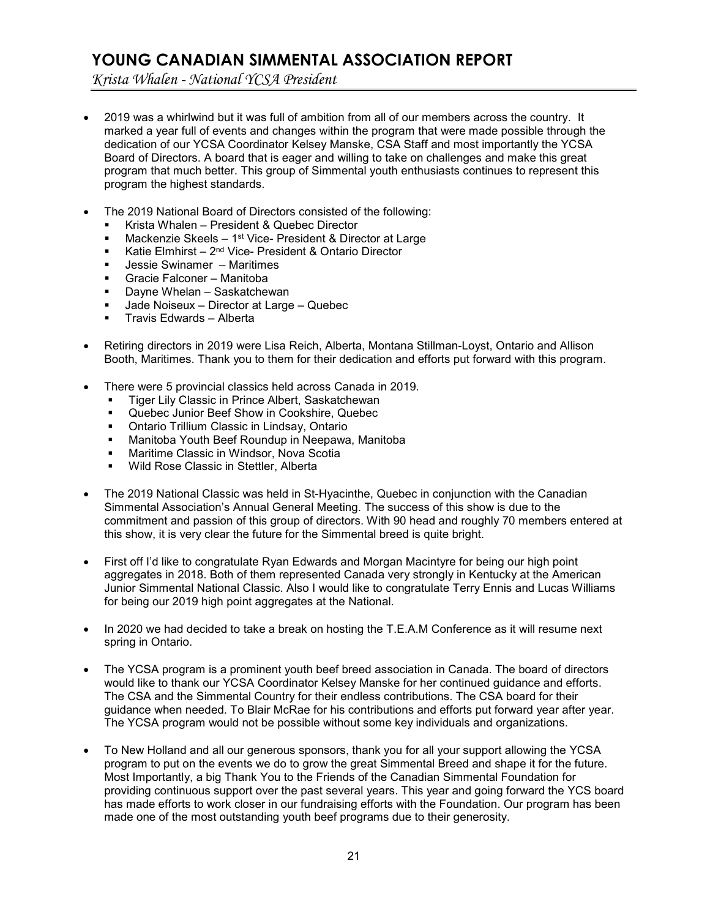## **YOUNG CANADIAN SIMMENTAL ASSOCIATION REPORT**

*Krista Whalen - National YCSA President*

- 2019 was a whirlwind but it was full of ambition from all of our members across the country. It marked a year full of events and changes within the program that were made possible through the dedication of our YCSA Coordinator Kelsey Manske, CSA Staff and most importantly the YCSA Board of Directors. A board that is eager and willing to take on challenges and make this great program that much better. This group of Simmental youth enthusiasts continues to represent this program the highest standards.
- The 2019 National Board of Directors consisted of the following:
	- Krista Whalen President & Quebec Director
	- Mackenzie Skeels 1st Vice- President & Director at Large
	- Katie Elmhirst 2nd Vice- President & Ontario Director
	- Jessie Swinamer Maritimes
	- Gracie Falconer Manitoba
	- Dayne Whelan Saskatchewan
	- Jade Noiseux Director at Large Quebec
	- Travis Edwards Alberta
- Retiring directors in 2019 were Lisa Reich, Alberta, Montana Stillman-Loyst, Ontario and Allison Booth, Maritimes. Thank you to them for their dedication and efforts put forward with this program.
- There were 5 provincial classics held across Canada in 2019.
	- **Tiger Lily Classic in Prince Albert, Saskatchewan**
	- Quebec Junior Beef Show in Cookshire, Quebec
	- **Ontario Trillium Classic in Lindsay, Ontario**
	- Manitoba Youth Beef Roundup in Neepawa, Manitoba
	- Maritime Classic in Windsor, Nova Scotia
	- **Wild Rose Classic in Stettler, Alberta**
- The 2019 National Classic was held in St-Hyacinthe, Quebec in conjunction with the Canadian Simmental Association's Annual General Meeting. The success of this show is due to the commitment and passion of this group of directors. With 90 head and roughly 70 members entered at this show, it is very clear the future for the Simmental breed is quite bright.
- First off I'd like to congratulate Ryan Edwards and Morgan Macintyre for being our high point aggregates in 2018. Both of them represented Canada very strongly in Kentucky at the American Junior Simmental National Classic. Also I would like to congratulate Terry Ennis and Lucas Williams for being our 2019 high point aggregates at the National.
- In 2020 we had decided to take a break on hosting the T.E.A.M Conference as it will resume next spring in Ontario.
- The YCSA program is a prominent youth beef breed association in Canada. The board of directors would like to thank our YCSA Coordinator Kelsey Manske for her continued guidance and efforts. The CSA and the Simmental Country for their endless contributions. The CSA board for their guidance when needed. To Blair McRae for his contributions and efforts put forward year after year. The YCSA program would not be possible without some key individuals and organizations.
- To New Holland and all our generous sponsors, thank you for all your support allowing the YCSA program to put on the events we do to grow the great Simmental Breed and shape it for the future. Most Importantly, a big Thank You to the Friends of the Canadian Simmental Foundation for providing continuous support over the past several years. This year and going forward the YCS board has made efforts to work closer in our fundraising efforts with the Foundation. Our program has been made one of the most outstanding youth beef programs due to their generosity.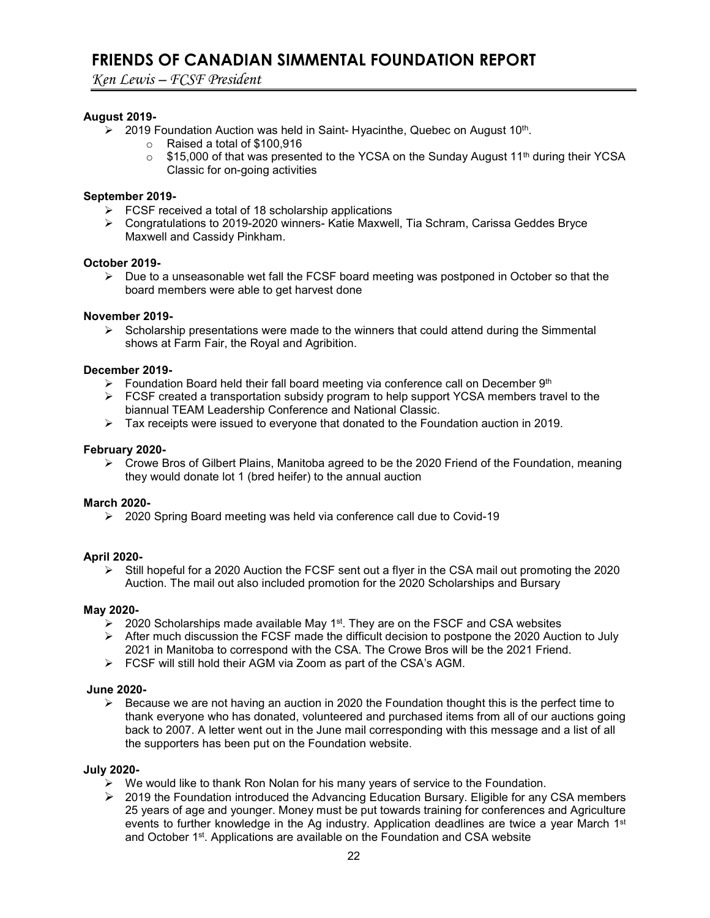## **FRIENDS OF CANADIAN SIMMENTAL FOUNDATION REPORT**

*Ken Lewis – FCSF President*

## **August 2019-**

- $\geq$  2019 Foundation Auction was held in Saint- Hyacinthe, Quebec on August 10<sup>th</sup>.
	- o Raised a total of \$100,916
	- $\circ$  \$15,000 of that was presented to the YCSA on the Sunday August 11<sup>th</sup> during their YCSA Classic for on-going activities

## **September 2019-**

- $\triangleright$  FCSF received a total of 18 scholarship applications
- Congratulations to 2019-2020 winners- Katie Maxwell, Tia Schram, Carissa Geddes Bryce Maxwell and Cassidy Pinkham.

## **October 2019-**

 $\triangleright$  Due to a unseasonable wet fall the FCSF board meeting was postponed in October so that the board members were able to get harvest done

## **November 2019-**

 $\triangleright$  Scholarship presentations were made to the winners that could attend during the Simmental shows at Farm Fair, the Royal and Agribition.

## **December 2019-**

- Foundation Board held their fall board meeting via conference call on December  $9<sup>th</sup>$
- FCSF created a transportation subsidy program to help support YCSA members travel to the biannual TEAM Leadership Conference and National Classic.
- $\triangleright$  Tax receipts were issued to everyone that donated to the Foundation auction in 2019.

## **February 2020-**

 $\triangleright$  Crowe Bros of Gilbert Plains, Manitoba agreed to be the 2020 Friend of the Foundation, meaning they would donate lot 1 (bred heifer) to the annual auction

### **March 2020-**

▶ 2020 Spring Board meeting was held via conference call due to Covid-19

## **April 2020-**

 $\triangleright$  Still hopeful for a 2020 Auction the FCSF sent out a flyer in the CSA mail out promoting the 2020 Auction. The mail out also included promotion for the 2020 Scholarships and Bursary

### **May 2020-**

- $\triangleright$  2020 Scholarships made available May 1<sup>st</sup>. They are on the FSCF and CSA websites
- After much discussion the FCSF made the difficult decision to postpone the 2020 Auction to July 2021 in Manitoba to correspond with the CSA. The Crowe Bros will be the 2021 Friend.
- FCSF will still hold their AGM via Zoom as part of the CSA's AGM.

### **June 2020-**

 $\triangleright$  Because we are not having an auction in 2020 the Foundation thought this is the perfect time to thank everyone who has donated, volunteered and purchased items from all of our auctions going back to 2007. A letter went out in the June mail corresponding with this message and a list of all the supporters has been put on the Foundation website.

### **July 2020-**

- $\triangleright$  We would like to thank Ron Nolan for his many years of service to the Foundation.
- ▶ 2019 the Foundation introduced the Advancing Education Bursary. Eligible for any CSA members 25 years of age and younger. Money must be put towards training for conferences and Agriculture events to further knowledge in the Ag industry. Application deadlines are twice a year March 1<sup>st</sup> and October 1<sup>st</sup>. Applications are available on the Foundation and CSA website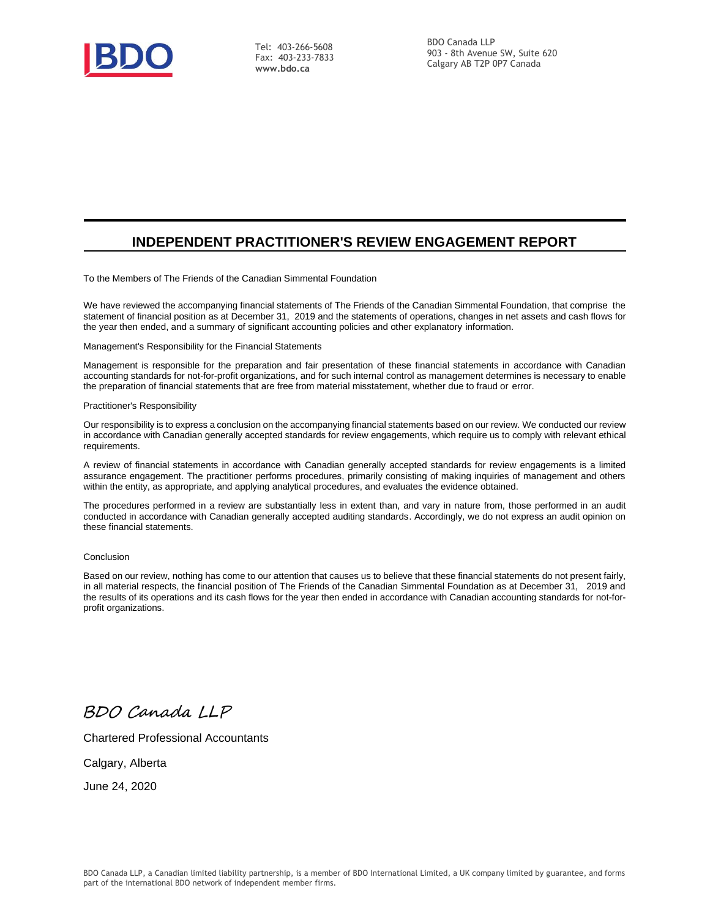

Tel: 403-266-5608 Fax: 403-233-7833 **[www.bdo.ca](http://www.bdo.ca/)**

## **INDEPENDENT PRACTITIONER'S REVIEW ENGAGEMENT REPORT**

To the Members of The Friends of the Canadian Simmental Foundation

We have reviewed the accompanying financial statements of The Friends of the Canadian Simmental Foundation, that comprise the statement of financial position as at December 31, 2019 and the statements of operations, changes in net assets and cash flows for the year then ended, and a summary of significant accounting policies and other explanatory information.

Management's Responsibility for the Financial Statements

Management is responsible for the preparation and fair presentation of these financial statements in accordance with Canadian accounting standards for not-for-profit organizations, and for such internal control as management determines is necessary to enable the preparation of financial statements that are free from material misstatement, whether due to fraud or error.

Practitioner's Responsibility

Our responsibility is to express a conclusion on the accompanying financial statements based on our review. We conducted our review in accordance with Canadian generally accepted standards for review engagements, which require us to comply with relevant ethical requirements.

A review of financial statements in accordance with Canadian generally accepted standards for review engagements is a limited assurance engagement. The practitioner performs procedures, primarily consisting of making inquiries of management and others within the entity, as appropriate, and applying analytical procedures, and evaluates the evidence obtained.

The procedures performed in a review are substantially less in extent than, and vary in nature from, those performed in an audit conducted in accordance with Canadian generally accepted auditing standards. Accordingly, we do not express an audit opinion on these financial statements.

#### Conclusion

Based on our review, nothing has come to our attention that causes us to believe that these financial statements do not present fairly, in all material respects, the financial position of The Friends of the Canadian Simmental Foundation as at December 31, 2019 and the results of its operations and its cash flows for the year then ended in accordance with Canadian accounting standards for not-forprofit organizations.

BDO Canada LLP

Chartered Professional Accountants

Calgary, Alberta

June 24, 2020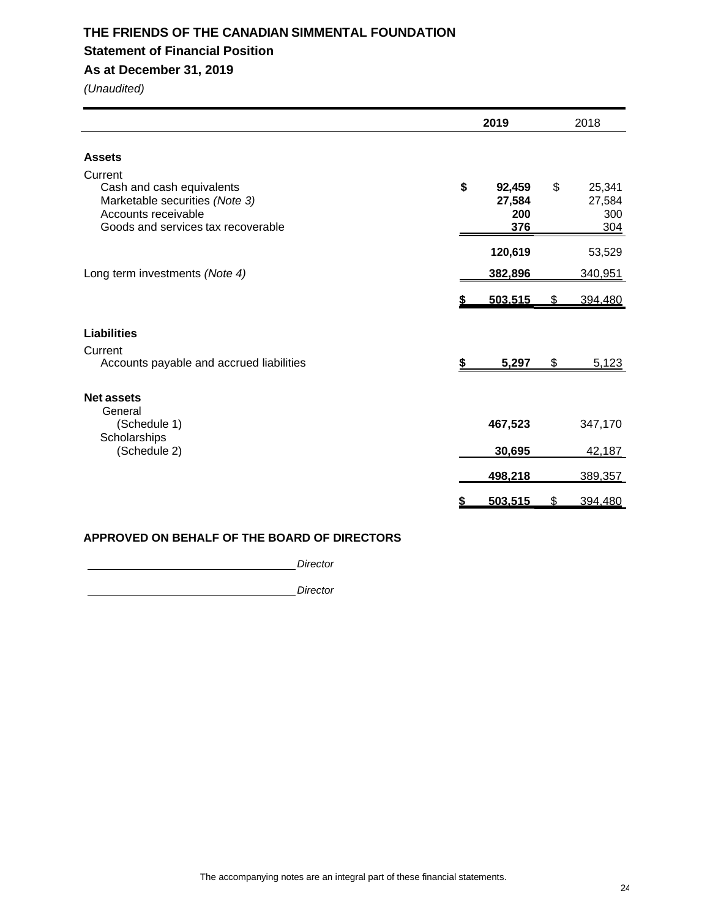## **THE FRIENDS OF THE CANADIAN SIMMENTAL FOUNDATION Statement of Financial Position As at December 31, 2019**

*(Unaudited)*

|                                                                                                                                     |    | 2019                           |    |                                |
|-------------------------------------------------------------------------------------------------------------------------------------|----|--------------------------------|----|--------------------------------|
| <b>Assets</b>                                                                                                                       |    |                                |    |                                |
| Current<br>Cash and cash equivalents<br>Marketable securities (Note 3)<br>Accounts receivable<br>Goods and services tax recoverable | \$ | 92,459<br>27,584<br>200<br>376 | \$ | 25,341<br>27,584<br>300<br>304 |
|                                                                                                                                     |    | 120,619                        |    | 53,529                         |
| Long term investments (Note 4)                                                                                                      |    | 382,896                        |    | 340,951                        |
|                                                                                                                                     |    | 503.515                        |    | 394.480                        |
| <b>Liabilities</b>                                                                                                                  |    |                                |    |                                |
| Current<br>Accounts payable and accrued liabilities                                                                                 | \$ | 5,297                          | \$ | 5,123                          |
| <b>Net assets</b>                                                                                                                   |    |                                |    |                                |
| General<br>(Schedule 1)<br>Scholarships                                                                                             |    | 467,523                        |    | 347,170                        |
| (Schedule 2)                                                                                                                        |    | 30,695                         |    | 42,187                         |
|                                                                                                                                     |    | 498,218                        |    | 389,357                        |
|                                                                                                                                     | S  | 503,515                        | \$ | 394,480                        |

## **APPROVED ON BEHALF OF THE BOARD OF DIRECTORS**

**Director Director** 

**Director Director**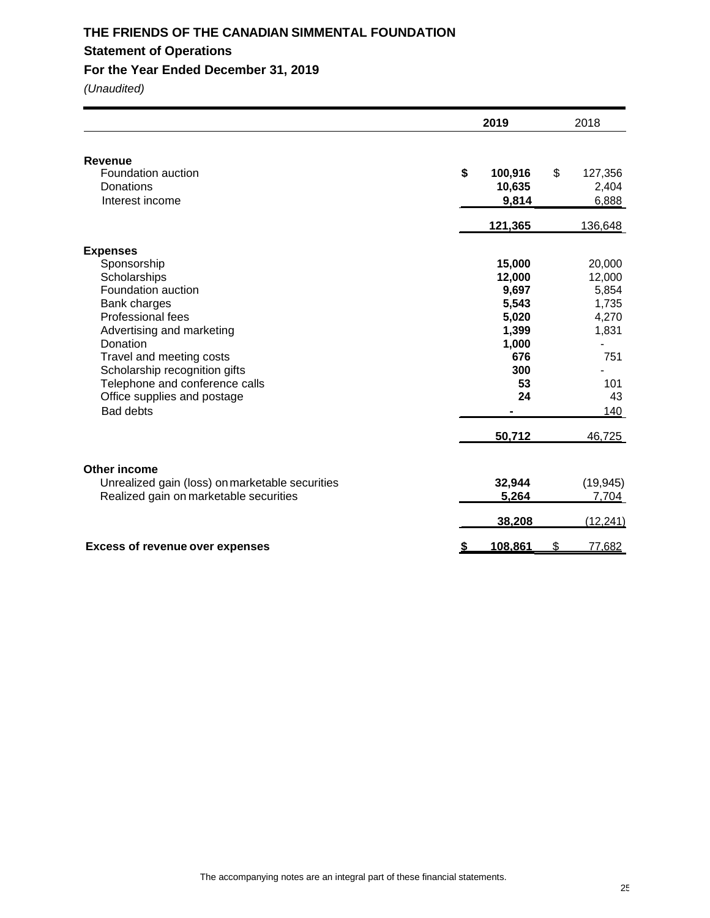## **THE FRIENDS OF THE CANADIAN SIMMENTAL FOUNDATION Statement of Operations**

## **For the Year Ended December 31, 2019**

|                                                                                                                                                                                                                                                                                                             | 2019                                                                                              | 2018                                                                                      |
|-------------------------------------------------------------------------------------------------------------------------------------------------------------------------------------------------------------------------------------------------------------------------------------------------------------|---------------------------------------------------------------------------------------------------|-------------------------------------------------------------------------------------------|
| Revenue<br>Foundation auction<br>Donations<br>Interest income                                                                                                                                                                                                                                               | \$<br>100,916<br>10,635<br>9,814                                                                  | \$<br>127,356<br>2,404<br>6,888                                                           |
|                                                                                                                                                                                                                                                                                                             | 121,365                                                                                           | 136,648                                                                                   |
| <b>Expenses</b><br>Sponsorship<br>Scholarships<br>Foundation auction<br>Bank charges<br><b>Professional fees</b><br>Advertising and marketing<br>Donation<br>Travel and meeting costs<br>Scholarship recognition gifts<br>Telephone and conference calls<br>Office supplies and postage<br><b>Bad debts</b> | 15,000<br>12,000<br>9,697<br>5,543<br>5,020<br>1,399<br>1,000<br>676<br>300<br>53<br>24<br>50,712 | 20,000<br>12,000<br>5,854<br>1,735<br>4,270<br>1,831<br>751<br>101<br>43<br>140<br>46,725 |
| Other income<br>Unrealized gain (loss) on marketable securities<br>Realized gain on marketable securities                                                                                                                                                                                                   | 32,944<br>5,264                                                                                   | (19, 945)<br>7,704                                                                        |
|                                                                                                                                                                                                                                                                                                             | 38,208                                                                                            | (12, 241)                                                                                 |
| <b>Excess of revenue over expenses</b>                                                                                                                                                                                                                                                                      | 108,861                                                                                           | \$<br>77,682                                                                              |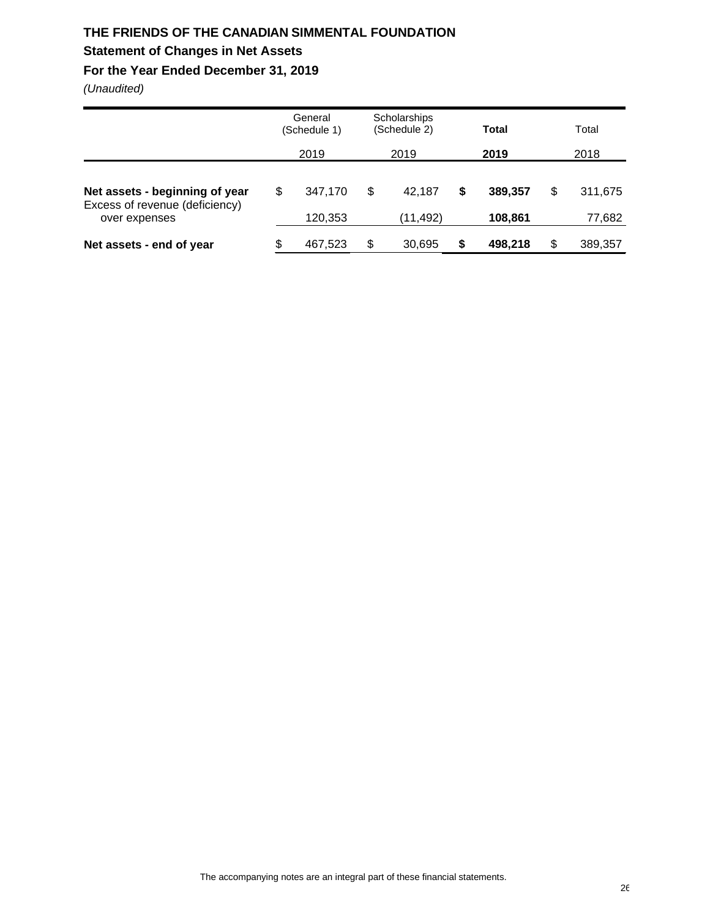# **THE FRIENDS OF THE CANADIAN SIMMENTAL FOUNDATION**

## **Statement of Changes in Net Assets**

## **For the Year Ended December 31, 2019**

|                                                                  |    | General<br>(Schedule 1) | <b>Scholarships</b><br>(Schedule 2) |    | Total<br>2019 |    | Total   |  |
|------------------------------------------------------------------|----|-------------------------|-------------------------------------|----|---------------|----|---------|--|
|                                                                  |    | 2019                    | 2019                                |    |               |    | 2018    |  |
| Net assets - beginning of year<br>Excess of revenue (deficiency) | \$ | 347.170                 | \$<br>42.187                        | \$ | 389.357       | \$ | 311,675 |  |
| over expenses                                                    |    | 120,353                 | (11, 492)                           |    | 108,861       |    | 77,682  |  |
| Net assets - end of year                                         | S  | 467,523                 | \$<br>30,695                        | \$ | 498,218       | S  | 389,357 |  |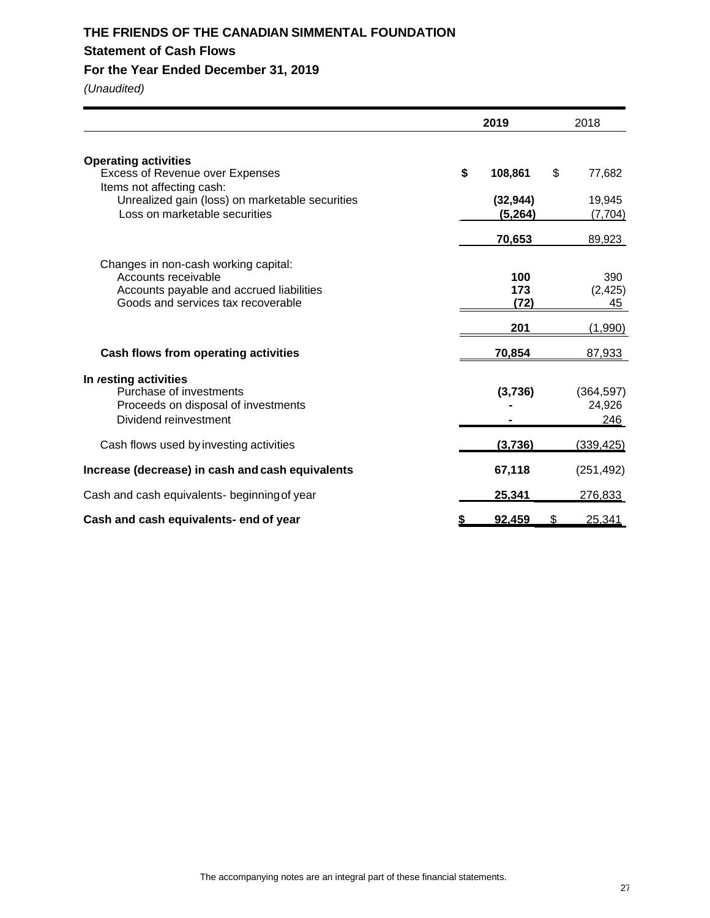## **THE FRIENDS OF THE CANADIAN SIMMENTAL FOUNDATION Statement of Cash Flows**

## **For the Year Ended December 31, 2019**

|                                                                                                                                                       | 2019                       |     | 2018                        |
|-------------------------------------------------------------------------------------------------------------------------------------------------------|----------------------------|-----|-----------------------------|
| <b>Operating activities</b><br><b>Excess of Revenue over Expenses</b><br>Items not affecting cash:<br>Unrealized gain (loss) on marketable securities | \$<br>108,861<br>(32, 944) | \$  | 77,682<br>19,945            |
| Loss on marketable securities                                                                                                                         | (5, 264)<br>70,653         |     | (7, 704)<br>89,923          |
| Changes in non-cash working capital:<br>Accounts receivable<br>Accounts payable and accrued liabilities<br>Goods and services tax recoverable         | 100<br>173<br>(72)         |     | 390<br>(2, 425)<br>45       |
|                                                                                                                                                       | 201                        |     | (1,990)                     |
| Cash flows from operating activities                                                                                                                  | 70,854                     |     | 87,933                      |
| In resting activities<br>Purchase of investments<br>Proceeds on disposal of investments<br>Dividend reinvestment                                      | (3,736)                    |     | (364, 597)<br>24,926<br>246 |
| Cash flows used by investing activities                                                                                                               | (3,736)                    |     | (339, 425)                  |
| Increase (decrease) in cash and cash equivalents                                                                                                      | 67,118                     |     | (251, 492)                  |
| Cash and cash equivalents- beginning of year                                                                                                          | 25,341                     |     | 276,833                     |
| Cash and cash equivalents- end of year                                                                                                                | 92.459                     | \$. | 25.341                      |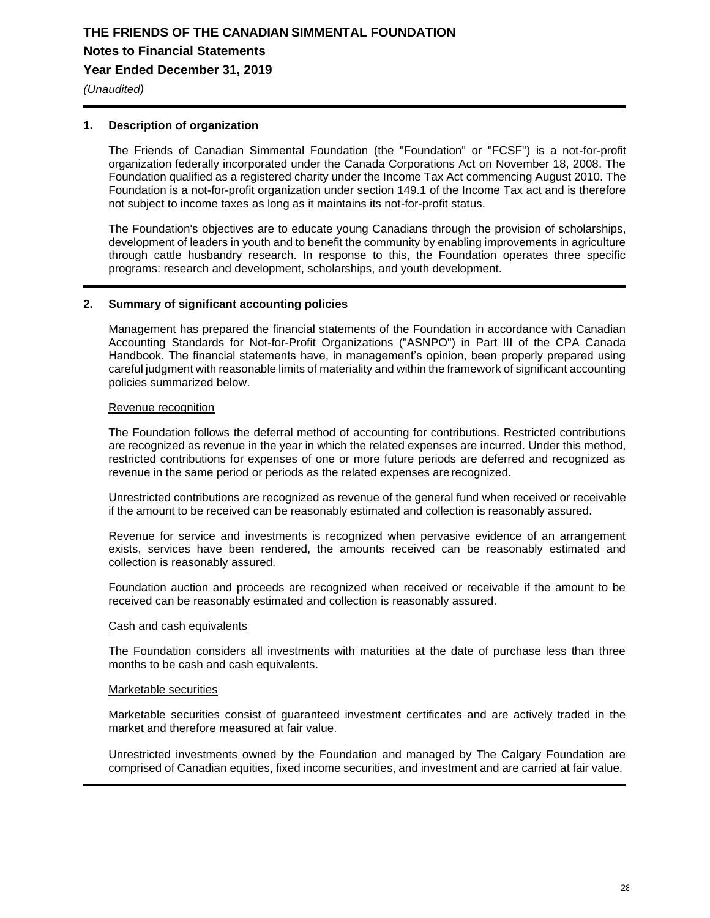*(Unaudited)*

### **1. Description of organization**

The Friends of Canadian Simmental Foundation (the "Foundation" or "FCSF") is a not-for-profit organization federally incorporated under the Canada Corporations Act on November 18, 2008. The Foundation qualified as a registered charity under the Income Tax Act commencing August 2010. The Foundation is a not-for-profit organization under section 149.1 of the Income Tax act and is therefore not subject to income taxes as long as it maintains its not-for-profit status.

The Foundation's objectives are to educate young Canadians through the provision of scholarships, development of leaders in youth and to benefit the community by enabling improvements in agriculture through cattle husbandry research. In response to this, the Foundation operates three specific programs: research and development, scholarships, and youth development.

### **2. Summary of significant accounting policies**

Management has prepared the financial statements of the Foundation in accordance with Canadian Accounting Standards for Not-for-Profit Organizations ("ASNPO") in Part III of the CPA Canada Handbook. The financial statements have, in management's opinion, been properly prepared using careful judgment with reasonable limits of materiality and within the framework of significant accounting policies summarized below.

### Revenue recognition

The Foundation follows the deferral method of accounting for contributions. Restricted contributions are recognized as revenue in the year in which the related expenses are incurred. Under this method, restricted contributions for expenses of one or more future periods are deferred and recognized as revenue in the same period or periods as the related expenses are recognized.

Unrestricted contributions are recognized as revenue of the general fund when received or receivable if the amount to be received can be reasonably estimated and collection is reasonably assured.

Revenue for service and investments is recognized when pervasive evidence of an arrangement exists, services have been rendered, the amounts received can be reasonably estimated and collection is reasonably assured.

Foundation auction and proceeds are recognized when received or receivable if the amount to be received can be reasonably estimated and collection is reasonably assured.

#### Cash and cash equivalents

The Foundation considers all investments with maturities at the date of purchase less than three months to be cash and cash equivalents.

#### Marketable securities

Marketable securities consist of guaranteed investment certificates and are actively traded in the market and therefore measured at fair value.

Unrestricted investments owned by the Foundation and managed by The Calgary Foundation are comprised of Canadian equities, fixed income securities, and investment and are carried at fair value.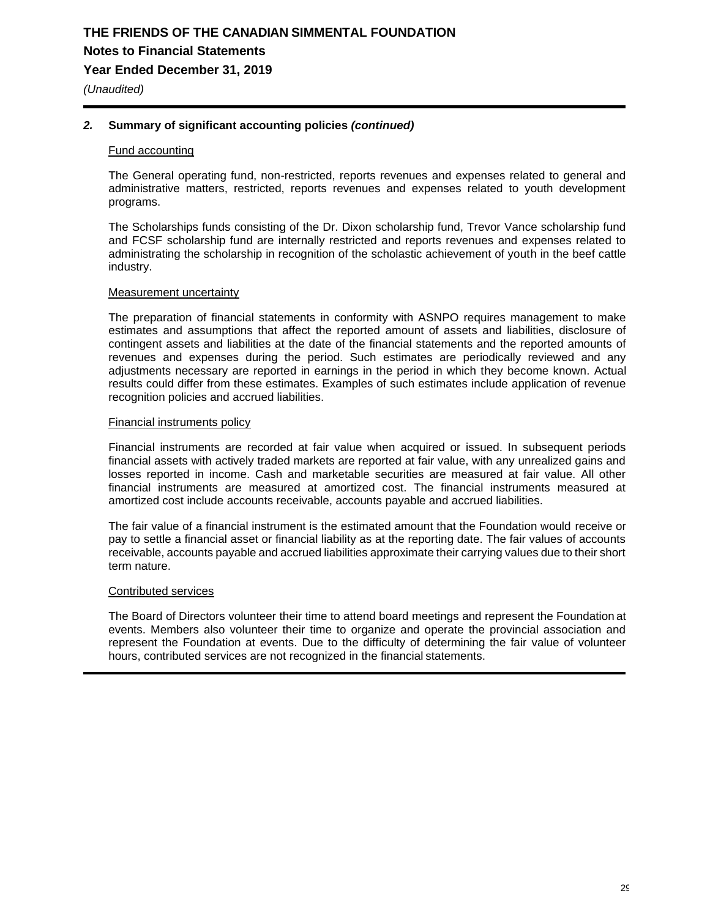## **THE FRIENDS OF THE CANADIAN SIMMENTAL FOUNDATION Notes to Financial Statements Year Ended December 31, 2019**

*(Unaudited)*

### *2.* **Summary of significant accounting policies** *(continued)*

#### Fund accounting

The General operating fund, non-restricted, reports revenues and expenses related to general and administrative matters, restricted, reports revenues and expenses related to youth development programs.

The Scholarships funds consisting of the Dr. Dixon scholarship fund, Trevor Vance scholarship fund and FCSF scholarship fund are internally restricted and reports revenues and expenses related to administrating the scholarship in recognition of the scholastic achievement of youth in the beef cattle industry.

#### Measurement uncertainty

The preparation of financial statements in conformity with ASNPO requires management to make estimates and assumptions that affect the reported amount of assets and liabilities, disclosure of contingent assets and liabilities at the date of the financial statements and the reported amounts of revenues and expenses during the period. Such estimates are periodically reviewed and any adjustments necessary are reported in earnings in the period in which they become known. Actual results could differ from these estimates. Examples of such estimates include application of revenue recognition policies and accrued liabilities.

#### Financial instruments policy

Financial instruments are recorded at fair value when acquired or issued. In subsequent periods financial assets with actively traded markets are reported at fair value, with any unrealized gains and losses reported in income. Cash and marketable securities are measured at fair value. All other financial instruments are measured at amortized cost. The financial instruments measured at amortized cost include accounts receivable, accounts payable and accrued liabilities.

The fair value of a financial instrument is the estimated amount that the Foundation would receive or pay to settle a financial asset or financial liability as at the reporting date. The fair values of accounts receivable, accounts payable and accrued liabilities approximate their carrying values due to their short term nature.

### Contributed services

The Board of Directors volunteer their time to attend board meetings and represent the Foundation at events. Members also volunteer their time to organize and operate the provincial association and represent the Foundation at events. Due to the difficulty of determining the fair value of volunteer hours, contributed services are not recognized in the financial statements.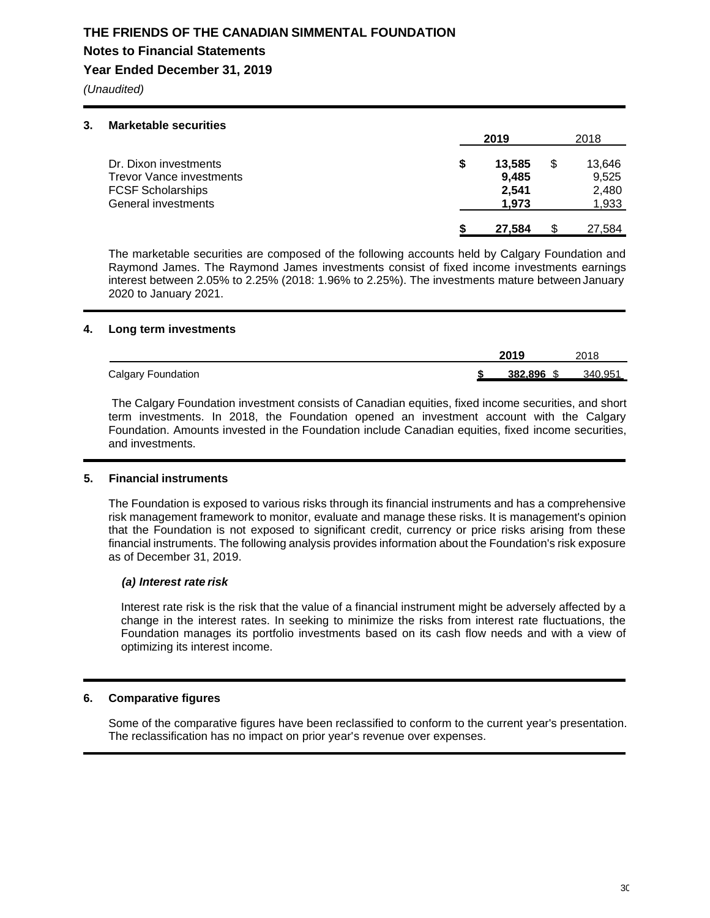# **THE FRIENDS OF THE CANADIAN SIMMENTAL FOUNDATION Notes to Financial Statements**

## **Year Ended December 31, 2019**

*(Unaudited)*

#### **3. Marketable securities**

|                                                                                                             | 2019                              | 2018                                    |
|-------------------------------------------------------------------------------------------------------------|-----------------------------------|-----------------------------------------|
| Dr. Dixon investments<br><b>Trevor Vance investments</b><br><b>FCSF Scholarships</b><br>General investments | 13,585<br>9,485<br>2,541<br>1.973 | \$<br>13,646<br>9,525<br>2,480<br>1,933 |
|                                                                                                             | 27.584                            | 27,584                                  |

The marketable securities are composed of the following accounts held by Calgary Foundation and Raymond James. The Raymond James investments consist of fixed income investments earnings interest between 2.05% to 2.25% (2018: 1.96% to 2.25%). The investments mature between January 2020 to January 2021.

### **4. Long term investments**

|                           | 2019       | 2018    |
|---------------------------|------------|---------|
| <b>Calgary Foundation</b> | 382.896 \$ | 340.951 |

The Calgary Foundation investment consists of Canadian equities, fixed income securities, and short term investments. In 2018, the Foundation opened an investment account with the Calgary Foundation. Amounts invested in the Foundation include Canadian equities, fixed income securities, and investments.

## **5. Financial instruments**

The Foundation is exposed to various risks through its financial instruments and has a comprehensive risk management framework to monitor, evaluate and manage these risks. It is management's opinion that the Foundation is not exposed to significant credit, currency or price risks arising from these financial instruments. The following analysis provides information about the Foundation's risk exposure as of December 31, 2019.

### *(a) Interest rate risk*

Interest rate risk is the risk that the value of a financial instrument might be adversely affected by a change in the interest rates. In seeking to minimize the risks from interest rate fluctuations, the Foundation manages its portfolio investments based on its cash flow needs and with a view of optimizing its interest income.

## **6. Comparative figures**

Some of the comparative figures have been reclassified to conform to the current year's presentation. The reclassification has no impact on prior year's revenue over expenses.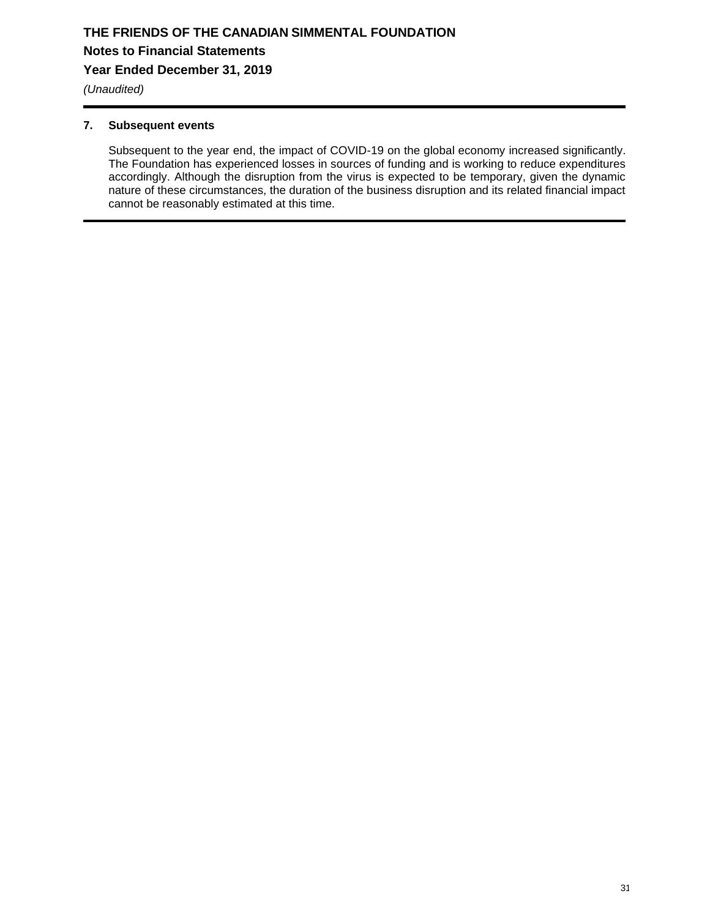*(Unaudited)*

### **7. Subsequent events**

Subsequent to the year end, the impact of COVID-19 on the global economy increased significantly. The Foundation has experienced losses in sources of funding and is working to reduce expenditures accordingly. Although the disruption from the virus is expected to be temporary, given the dynamic nature of these circumstances, the duration of the business disruption and its related financial impact cannot be reasonably estimated at this time.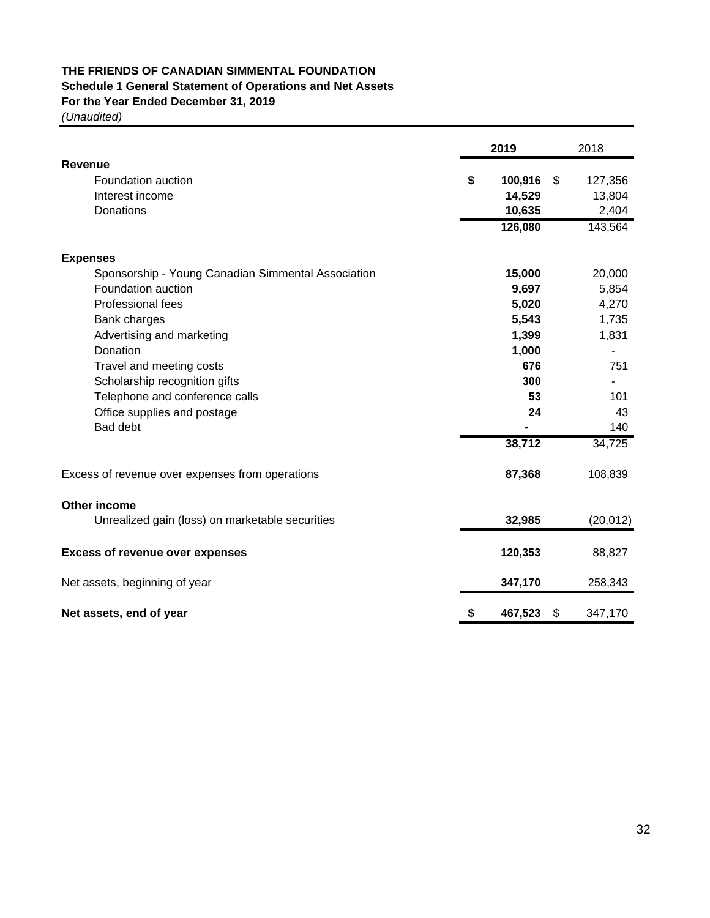## **THE FRIENDS OF CANADIAN SIMMENTAL FOUNDATION Schedule 1 General Statement of Operations and Net Assets**

## **For the Year Ended December 31, 2019**

|                                                    |    | 2019    | 2018          |
|----------------------------------------------------|----|---------|---------------|
| Revenue                                            |    |         |               |
| Foundation auction                                 | \$ | 100,916 | \$<br>127,356 |
| Interest income                                    |    | 14,529  | 13,804        |
| Donations                                          |    | 10,635  | 2,404         |
|                                                    |    | 126,080 | 143,564       |
| <b>Expenses</b>                                    |    |         |               |
| Sponsorship - Young Canadian Simmental Association |    | 15,000  | 20,000        |
| Foundation auction                                 |    | 9,697   | 5,854         |
| <b>Professional fees</b>                           |    | 5,020   | 4,270         |
| Bank charges                                       |    | 5,543   | 1,735         |
| Advertising and marketing                          |    | 1,399   | 1,831         |
| Donation                                           |    | 1,000   |               |
| Travel and meeting costs                           |    | 676     | 751           |
| Scholarship recognition gifts                      |    | 300     |               |
| Telephone and conference calls                     |    | 53      | 101           |
| Office supplies and postage                        |    | 24      | 43            |
| Bad debt                                           |    |         | 140           |
|                                                    |    | 38,712  | 34,725        |
| Excess of revenue over expenses from operations    |    | 87,368  | 108,839       |
| Other income                                       |    |         |               |
| Unrealized gain (loss) on marketable securities    |    | 32,985  | (20, 012)     |
| <b>Excess of revenue over expenses</b>             |    | 120,353 | 88,827        |
| Net assets, beginning of year                      |    | 347,170 | 258,343       |
| Net assets, end of year                            | S  | 467,523 | \$<br>347,170 |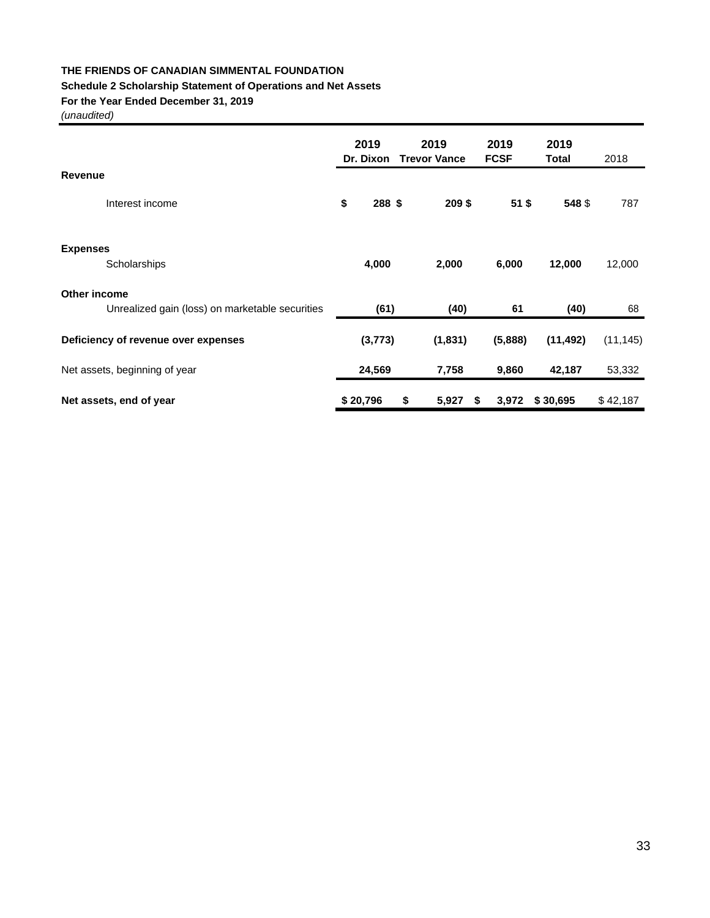## **THE FRIENDS OF CANADIAN SIMMENTAL FOUNDATION**

## **Schedule 2 Scholarship Statement of Operations and Net Assets**

### **For the Year Ended December 31, 2019**

|                                                 | 2019<br>Dr. Dixon | 2019<br><b>Trevor Vance</b> | 2019<br><b>FCSF</b> | 2019<br>Total | 2018      |
|-------------------------------------------------|-------------------|-----------------------------|---------------------|---------------|-----------|
| <b>Revenue</b>                                  |                   |                             |                     |               |           |
| Interest income                                 | \$<br>288 \$      | 209\$                       | $51$ \$             | 548 \$        | 787       |
|                                                 |                   |                             |                     |               |           |
| <b>Expenses</b><br>Scholarships                 | 4,000             | 2,000                       | 6,000               | 12,000        | 12,000    |
| Other income                                    |                   |                             |                     |               |           |
| Unrealized gain (loss) on marketable securities | (61)              | (40)                        | 61                  | (40)          | 68        |
| Deficiency of revenue over expenses             | (3, 773)          | (1, 831)                    | (5,888)             | (11, 492)     | (11, 145) |
| Net assets, beginning of year                   | 24,569            | 7,758                       | 9,860               | 42,187        | 53,332    |
| Net assets, end of year                         | \$20,796          | \$<br>5,927<br>\$           | 3,972               | \$30,695      | \$42,187  |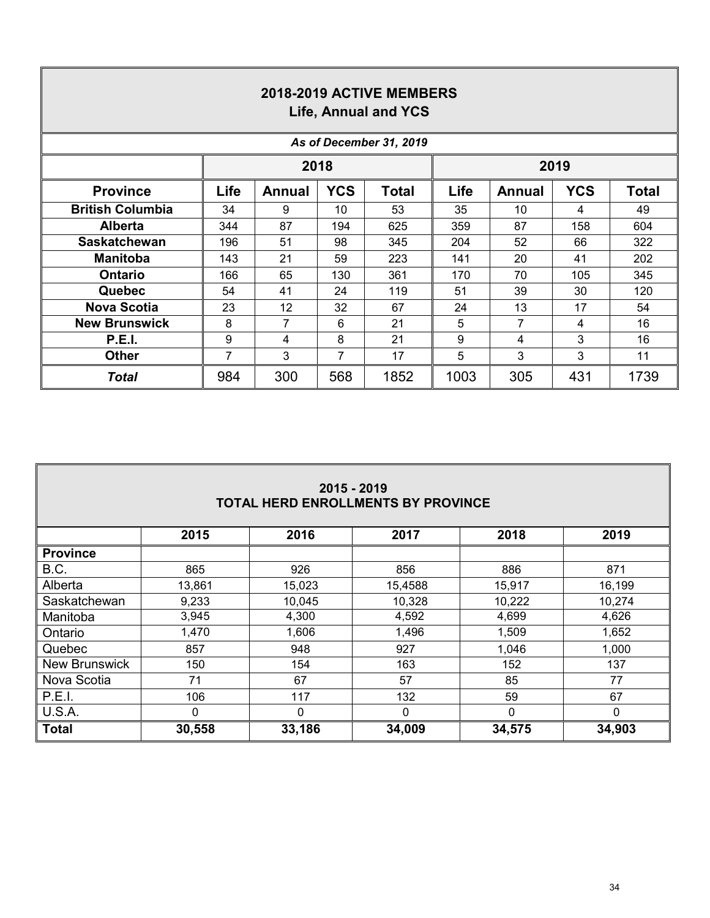| 2018-2019 ACTIVE MEMBERS<br>Life, Annual and YCS |                         |               |            |              |      |               |            |              |  |  |
|--------------------------------------------------|-------------------------|---------------|------------|--------------|------|---------------|------------|--------------|--|--|
|                                                  | As of December 31, 2019 |               |            |              |      |               |            |              |  |  |
|                                                  |                         |               | 2018       |              |      |               | 2019       |              |  |  |
| <b>Province</b>                                  | Life                    | <b>Annual</b> | <b>YCS</b> | <b>Total</b> | Life | <b>Annual</b> | <b>YCS</b> | <b>Total</b> |  |  |
| <b>British Columbia</b>                          | 34                      | 9             | 10         | 53           | 35   | 10            | 4          | 49           |  |  |
| <b>Alberta</b>                                   | 344                     | 87            | 194        | 625          | 359  | 87            | 158        | 604          |  |  |
| <b>Saskatchewan</b>                              | 196                     | 51            | 98         | 345          | 204  | 52            | 66         | 322          |  |  |
| <b>Manitoba</b>                                  | 143                     | 21            | 59         | 223          | 141  | 20            | 41         | 202          |  |  |
| <b>Ontario</b>                                   | 166                     | 65            | 130        | 361          | 170  | 70            | 105        | 345          |  |  |
| <b>Quebec</b>                                    | 54                      | 41            | 24         | 119          | 51   | 39            | 30         | 120          |  |  |
| <b>Nova Scotia</b>                               | 23                      | 12            | 32         | 67           | 24   | 13            | 17         | 54           |  |  |
| <b>New Brunswick</b>                             | 8                       | 7             | 6          | 21           | 5    | 7             | 4          | 16           |  |  |
| <b>P.E.I.</b>                                    | 9                       | 4             | 8          | 21           | 9    | 4             | 3          | 16           |  |  |
| <b>Other</b>                                     | 7                       | 3             | 7          | 17           | 5    | 3             | 3          | 11           |  |  |
| Total                                            | 984                     | 300           | 568        | 1852         | 1003 | 305           | 431        | 1739         |  |  |

| 2015 - 2019<br><b>TOTAL HERD ENROLLMENTS BY PROVINCE</b> |                                      |        |         |        |          |  |  |  |  |  |  |
|----------------------------------------------------------|--------------------------------------|--------|---------|--------|----------|--|--|--|--|--|--|
|                                                          | 2019<br>2015<br>2016<br>2017<br>2018 |        |         |        |          |  |  |  |  |  |  |
| <b>Province</b>                                          |                                      |        |         |        |          |  |  |  |  |  |  |
| B.C.                                                     | 865                                  | 926    | 856     | 886    | 871      |  |  |  |  |  |  |
| Alberta                                                  | 13,861                               | 15,023 | 15,4588 | 15,917 | 16,199   |  |  |  |  |  |  |
| Saskatchewan                                             | 9,233                                | 10,045 | 10,328  | 10,222 | 10,274   |  |  |  |  |  |  |
| Manitoba                                                 | 3,945                                | 4,300  | 4,592   | 4,699  | 4,626    |  |  |  |  |  |  |
| Ontario                                                  | 1,470                                | 1,606  | 1,496   | 1,509  | 1,652    |  |  |  |  |  |  |
| Quebec                                                   | 857                                  | 948    | 927     | 1,046  | 1,000    |  |  |  |  |  |  |
| <b>New Brunswick</b>                                     | 150                                  | 154    | 163     | 152    | 137      |  |  |  |  |  |  |
| Nova Scotia                                              | 71                                   | 67     | 57      | 85     | 77       |  |  |  |  |  |  |
| P.E.I.                                                   | 106                                  | 117    | 132     | 59     | 67       |  |  |  |  |  |  |
| U.S.A.                                                   | 0                                    | 0      | 0       | 0      | $\Omega$ |  |  |  |  |  |  |
| <b>Total</b>                                             | 30,558                               | 33,186 | 34,009  | 34,575 | 34,903   |  |  |  |  |  |  |